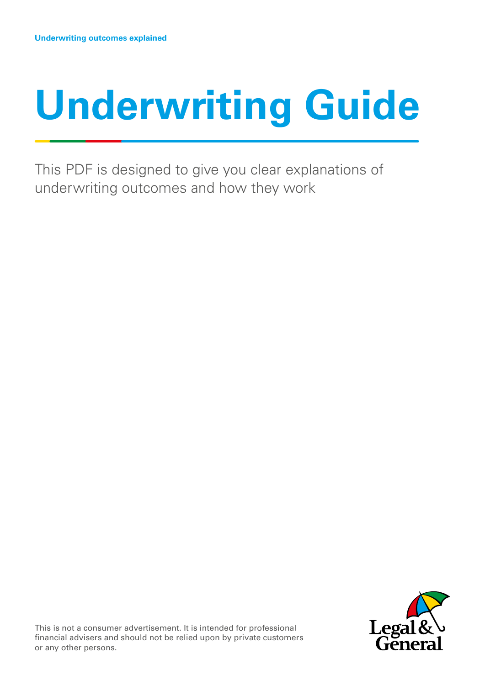# **Underwriting Guide**

This PDF is designed to give you clear explanations of underwriting outcomes and how they work



or any other persons. **The content of the content of the content of the content of the content of the content of the content of the content of the content of the content of the content of the content of the content of the** This is not a consumer advertisement. It is intended for professional financial advisers and should not be relied upon by private customers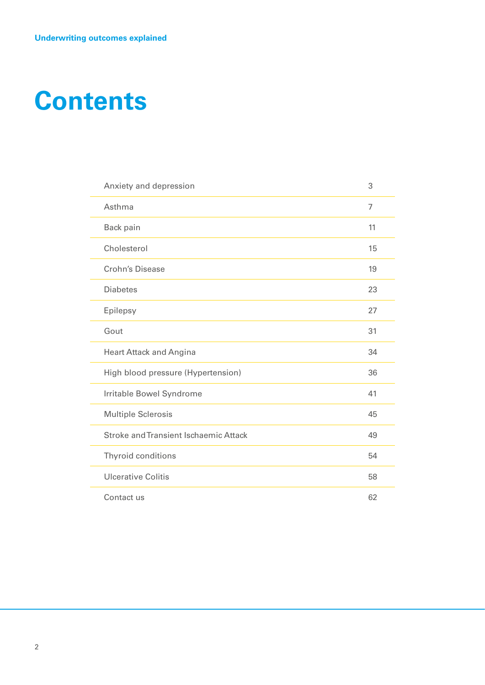## <span id="page-1-0"></span>**Contents**

| Anxiety and depression                | 3              |
|---------------------------------------|----------------|
| Asthma                                | $\overline{7}$ |
| Back pain                             | 11             |
| Cholesterol                           | 15             |
| <b>Crohn's Disease</b>                | 19             |
| <b>Diabetes</b>                       | 23             |
| Epilepsy                              | 27             |
| Gout                                  | 31             |
| <b>Heart Attack and Angina</b>        | 34             |
| High blood pressure (Hypertension)    | 36             |
| Irritable Bowel Syndrome              | 41             |
| <b>Multiple Sclerosis</b>             | 45             |
| Stroke and Transient Ischaemic Attack | 49             |
| <b>Thyroid conditions</b>             | 54             |
| <b>Ulcerative Colitis</b>             | 58             |
| Contact us                            | 62             |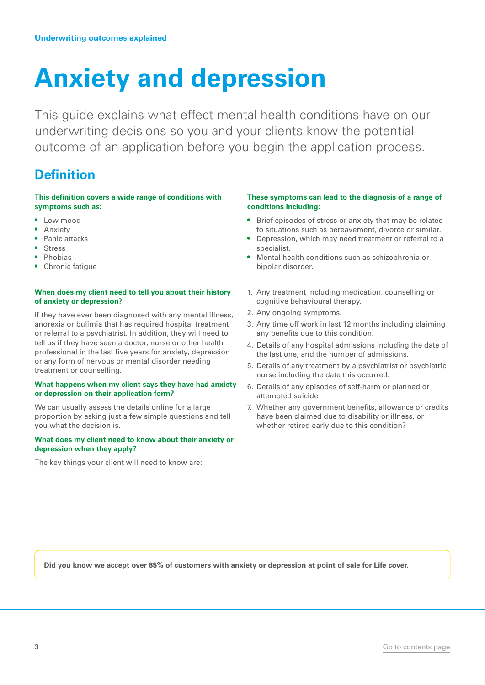## <span id="page-2-0"></span>**Anxiety and depression**

This guide explains what effect mental health conditions have on our underwriting decisions so you and your clients know the potential outcome of an application before you begin the application process.

## **Definition**

**This definition covers a wide range of conditions with symptoms such as:**

- Low mood
- Anxiety
- Panic attacks
- **Stress**
- Phobias
- Chronic fatigue

#### **When does my client need to tell you about their history of anxiety or depression?**

If they have ever been diagnosed with any mental illness, anorexia or bulimia that has required hospital treatment or referral to a psychiatrist. In addition, they will need to tell us if they have seen a doctor, nurse or other health professional in the last five years for anxiety, depression or any form of nervous or mental disorder needing treatment or counselling.

#### **What happens when my client says they have had anxiety or depression on their application form?**

We can usually assess the details online for a large proportion by asking just a few simple questions and tell you what the decision is.

#### **What does my client need to know about their anxiety or depression when they apply?**

The key things your client will need to know are:

#### **These symptoms can lead to the diagnosis of a range of conditions including:**

- Brief episodes of stress or anxiety that may be related to situations such as bereavement, divorce or similar.
- Depression, which may need treatment or referral to a specialist.
- Mental health conditions such as schizophrenia or bipolar disorder.
- 1. Any treatment including medication, counselling or cognitive behavioural therapy.
- 2. Any ongoing symptoms.
- 3. Any time off work in last 12 months including claiming any benefits due to this condition.
- 4. Details of any hospital admissions including the date of the last one, and the number of admissions.
- 5. Details of any treatment by a psychiatrist or psychiatric nurse including the date this occurred.
- 6. Details of any episodes of self-harm or planned or attempted suicide
- 7. Whether any government benefits, allowance or credits have been claimed due to disability or illness, or whether retired early due to this condition?

**Did you know we accept over 85% of customers with anxiety or depression at point of sale for Life cover.**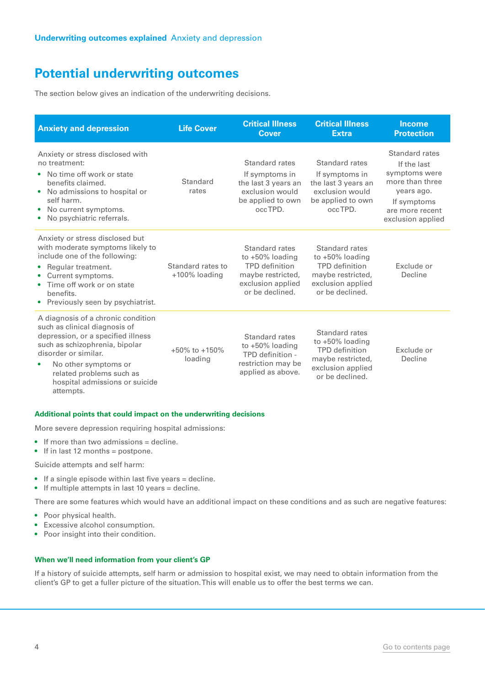The section below gives an indication of the underwriting decisions.

| <b>Anxiety and depression</b>                                                                                                                                                                                                                                                       | <b>Life Cover</b>                  | <b>Critical Illness</b><br><b>Cover</b>                                                                             | <b>Critical Illness</b><br><b>Extra</b>                                                                                    | <b>Income</b><br><b>Protection</b>                                                                                                     |
|-------------------------------------------------------------------------------------------------------------------------------------------------------------------------------------------------------------------------------------------------------------------------------------|------------------------------------|---------------------------------------------------------------------------------------------------------------------|----------------------------------------------------------------------------------------------------------------------------|----------------------------------------------------------------------------------------------------------------------------------------|
| Anxiety or stress disclosed with<br>no treatment:<br>No time off work or state<br>$\bullet$<br>benefits claimed.<br>No admissions to hospital or<br>$\bullet$<br>self harm.<br>No current symptoms.<br>$\bullet$<br>No psychiatric referrals.                                       | Standard<br>rates                  | Standard rates<br>If symptoms in<br>the last 3 years an<br>exclusion would<br>be applied to own<br>occTPD.          | Standard rates<br>If symptoms in<br>the last 3 years an<br>exclusion would<br>be applied to own<br>occTPD.                 | Standard rates<br>If the last<br>symptoms were<br>more than three<br>years ago.<br>If symptoms<br>are more recent<br>exclusion applied |
| Anxiety or stress disclosed but<br>with moderate symptoms likely to<br>include one of the following:<br>Regular treatment.<br>$\bullet$<br>Current symptoms.<br>$\bullet$<br>Time off work or on state<br>$\bullet$<br>benefits.<br>• Previously seen by psychiatrist.              | Standard rates to<br>+100% loading | Standard rates<br>to $+50\%$ loading<br>TPD definition<br>maybe restricted,<br>exclusion applied<br>or be declined. | Standard rates<br>to $+50\%$ loading<br><b>TPD</b> definition<br>maybe restricted,<br>exclusion applied<br>or be declined. | Exclude or<br>Decline                                                                                                                  |
| A diagnosis of a chronic condition<br>such as clinical diagnosis of<br>depression, or a specified illness<br>such as schizophrenia, bipolar<br>disorder or similar.<br>No other symptoms or<br>$\bullet$<br>related problems such as<br>hospital admissions or suicide<br>attempts. | $+50\%$ to $+150\%$<br>loading     | Standard rates<br>to $+50\%$ loading<br>TPD definition -<br>restriction may be<br>applied as above.                 | Standard rates<br>to $+50\%$ loading<br><b>TPD</b> definition<br>maybe restricted,<br>exclusion applied<br>or be declined. | Exclude or<br>Decline                                                                                                                  |

#### **Additional points that could impact on the underwriting decisions**

More severe depression requiring hospital admissions:

- If more than two admissions = decline.
- If in last 12 months = postpone.

Suicide attempts and self harm:

- If a single episode within last five years = decline.
- If multiple attempts in last 10 years = decline.

There are some features which would have an additional impact on these conditions and as such are negative features:

- Poor physical health.
- Excessive alcohol consumption.
- Poor insight into their condition.

#### **When we'll need information from your client's GP**

If a history of suicide attempts, self harm or admission to hospital exist, we may need to obtain information from the client's GP to get a fuller picture of the situation. This will enable us to offer the best terms we can.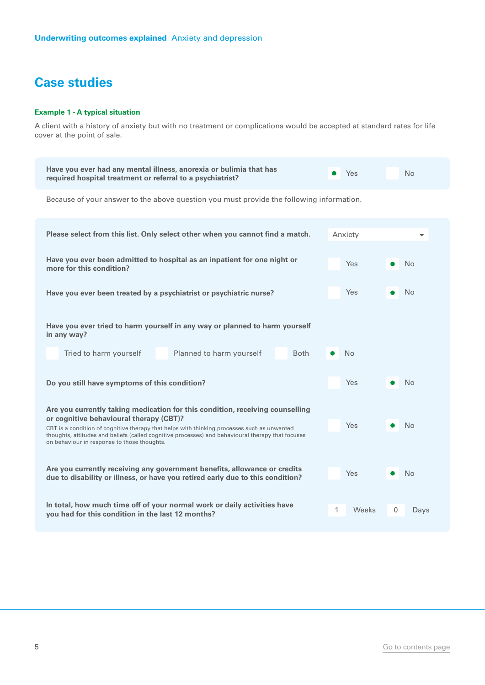#### **Example 1 - A typical situation**

A client with a history of anxiety but with no treatment or complications would be accepted at standard rates for life cover at the point of sale.

| Have you ever had any mental illness, anorexia or bulimia that has<br>required hospital treatment or referral to a psychiatrist?                                                                                                                                                                               | Yes        | No        |  |  |  |  |
|----------------------------------------------------------------------------------------------------------------------------------------------------------------------------------------------------------------------------------------------------------------------------------------------------------------|------------|-----------|--|--|--|--|
| Because of your answer to the above question you must provide the following information.                                                                                                                                                                                                                       |            |           |  |  |  |  |
| Please select from this list. Only select other when you cannot find a match.                                                                                                                                                                                                                                  | Anxiety    |           |  |  |  |  |
| Have you ever been admitted to hospital as an inpatient for one night or<br>more for this condition?                                                                                                                                                                                                           | Yes        | <b>No</b> |  |  |  |  |
| Have you ever been treated by a psychiatrist or psychiatric nurse?                                                                                                                                                                                                                                             | Yes        | No.       |  |  |  |  |
| Have you ever tried to harm yourself in any way or planned to harm yourself<br>in any way?                                                                                                                                                                                                                     |            |           |  |  |  |  |
| Tried to harm yourself<br>Planned to harm yourself<br><b>Both</b>                                                                                                                                                                                                                                              | <b>No</b>  |           |  |  |  |  |
| Do you still have symptoms of this condition?                                                                                                                                                                                                                                                                  | Yes.       | <b>No</b> |  |  |  |  |
| Are you currently taking medication for this condition, receiving counselling                                                                                                                                                                                                                                  |            |           |  |  |  |  |
| or cognitive behavioural therapy (CBT)?<br>Yes<br><b>No</b><br>CBT is a condition of cognitive therapy that helps with thinking processes such as unwanted<br>thoughts, attitudes and beliefs (called cognitive processes) and behavioural therapy that focuses<br>on behaviour in response to those thoughts. |            |           |  |  |  |  |
| Are you currently receiving any government benefits, allowance or credits<br><b>Yes</b><br><b>No</b><br>due to disability or illness, or have you retired early due to this condition?                                                                                                                         |            |           |  |  |  |  |
| In total, how much time off of your normal work or daily activities have<br>you had for this condition in the last 12 months?                                                                                                                                                                                  | 1<br>Weeks | 0<br>Days |  |  |  |  |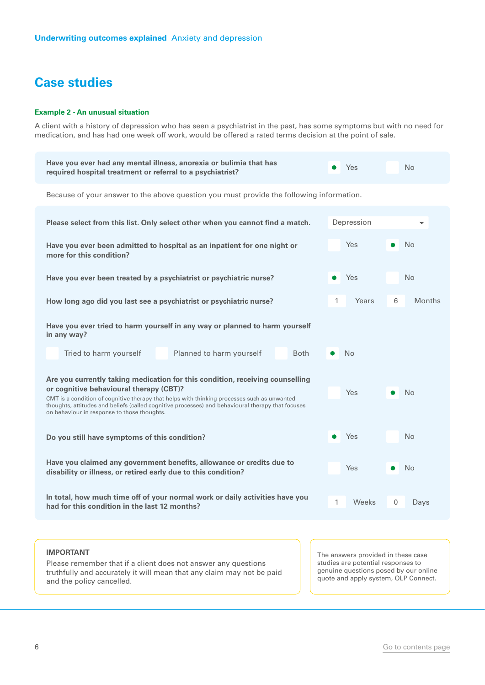#### **Example 2 - An unusual situation**

A client with a history of depression who has seen a psychiatrist in the past, has some symptoms but with no need for medication, and has had one week off work, would be offered a rated terms decision at the point of sale.

| Have you ever had any mental illness, anorexia or bulimia that has<br>required hospital treatment or referral to a psychiatrist?                                                                                                                                                                                                                                            | Yes               | <b>No</b>   |  |  |  |  |
|-----------------------------------------------------------------------------------------------------------------------------------------------------------------------------------------------------------------------------------------------------------------------------------------------------------------------------------------------------------------------------|-------------------|-------------|--|--|--|--|
| Because of your answer to the above question you must provide the following information.                                                                                                                                                                                                                                                                                    |                   |             |  |  |  |  |
| Please select from this list. Only select other when you cannot find a match.                                                                                                                                                                                                                                                                                               | Depression        |             |  |  |  |  |
| Have you ever been admitted to hospital as an inpatient for one night or<br>more for this condition?                                                                                                                                                                                                                                                                        | <b>Yes</b>        | <b>No</b>   |  |  |  |  |
| Have you ever been treated by a psychiatrist or psychiatric nurse?                                                                                                                                                                                                                                                                                                          | Yes               | <b>No</b>   |  |  |  |  |
| How long ago did you last see a psychiatrist or psychiatric nurse?                                                                                                                                                                                                                                                                                                          | Years<br>1        | 6<br>Months |  |  |  |  |
| Have you ever tried to harm yourself in any way or planned to harm yourself<br>in any way?                                                                                                                                                                                                                                                                                  |                   |             |  |  |  |  |
| Tried to harm yourself<br>Planned to harm yourself<br><b>Both</b>                                                                                                                                                                                                                                                                                                           | <b>No</b>         |             |  |  |  |  |
| Are you currently taking medication for this condition, receiving counselling<br>or cognitive behavioural therapy (CBT)?<br>CMT is a condition of cognitive therapy that helps with thinking processes such as unwanted<br>thoughts, attitudes and beliefs (called cognitive processes) and behavioural therapy that focuses<br>on behaviour in response to those thoughts. | Yes               | <b>No</b>   |  |  |  |  |
| Do you still have symptoms of this condition?                                                                                                                                                                                                                                                                                                                               | Yes               | <b>No</b>   |  |  |  |  |
| Have you claimed any government benefits, allowance or credits due to<br>disability or illness, or retired early due to this condition?                                                                                                                                                                                                                                     | Yes               | <b>No</b>   |  |  |  |  |
| In total, how much time off of your normal work or daily activities have you<br>had for this condition in the last 12 months?                                                                                                                                                                                                                                               | 1<br><b>Weeks</b> | 0<br>Days   |  |  |  |  |
|                                                                                                                                                                                                                                                                                                                                                                             |                   |             |  |  |  |  |

#### **IMPORTANT**

Please remember that if a client does not answer any questions truthfully and accurately it will mean that any claim may not be paid and the policy cancelled.

The answers provided in these case studies are potential responses to genuine questions posed by our online quote and apply system, OLP Connect.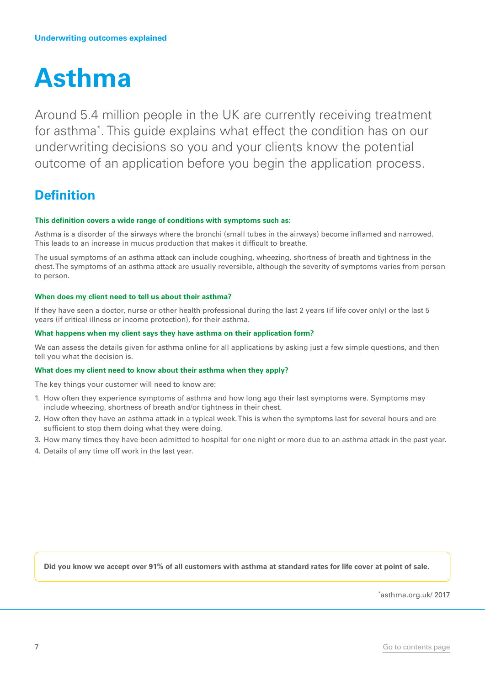## <span id="page-6-0"></span>**Asthma**

Around 5.4 million people in the UK are currently receiving treatment for asthma\* . This guide explains what effect the condition has on our underwriting decisions so you and your clients know the potential outcome of an application before you begin the application process.

## **Definition**

#### **This definition covers a wide range of conditions with symptoms such as:**

Asthma is a disorder of the airways where the bronchi (small tubes in the airways) become inflamed and narrowed. This leads to an increase in mucus production that makes it difficult to breathe.

The usual symptoms of an asthma attack can include coughing, wheezing, shortness of breath and tightness in the chest. The symptoms of an asthma attack are usually reversible, although the severity of symptoms varies from person to person.

#### **When does my client need to tell us about their asthma?**

If they have seen a doctor, nurse or other health professional during the last 2 years (if life cover only) or the last 5 years (if critical illness or income protection), for their asthma.

#### **What happens when my client says they have asthma on their application form?**

We can assess the details given for asthma online for all applications by asking just a few simple questions, and then tell you what the decision is.

#### **What does my client need to know about their asthma when they apply?**

The key things your customer will need to know are:

- 1. How often they experience symptoms of asthma and how long ago their last symptoms were. Symptoms may include wheezing, shortness of breath and/or tightness in their chest.
- 2. How often they have an asthma attack in a typical week. This is when the symptoms last for several hours and are sufficient to stop them doing what they were doing.
- 3. How many times they have been admitted to hospital for one night or more due to an asthma attack in the past year.
- 4. Details of any time off work in the last year.

**Did you know we accept over 91% of all customers with asthma at standard rates for life cover at point of sale.**

\* asthma.org.uk/ 2017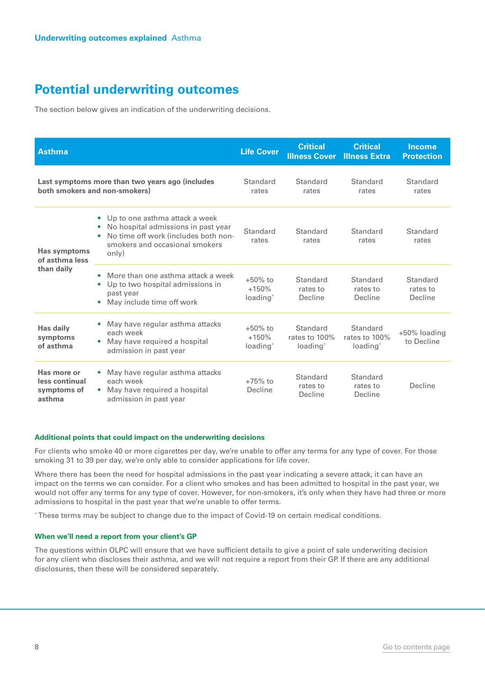The section below gives an indication of the underwriting decisions.

| <b>Asthma</b>                                          |                                                                                                                                                                                    | <b>Life Cover</b>                             | <b>Critical</b><br><b>Illness Cover</b>           | <b>Critical</b><br><b>Illness Extra</b>           | <b>Income</b><br><b>Protection</b> |
|--------------------------------------------------------|------------------------------------------------------------------------------------------------------------------------------------------------------------------------------------|-----------------------------------------------|---------------------------------------------------|---------------------------------------------------|------------------------------------|
|                                                        | Last symptoms more than two years ago (includes<br>both smokers and non-smokers)                                                                                                   | Standard<br>rates                             | Standard<br>rates                                 | Standard<br>rates                                 | Standard<br>rates                  |
| Has symptoms<br>of asthma less                         | Up to one asthma attack a week<br>$\bullet$<br>No hospital admissions in past year<br>No time off work (includes both non-<br>$\bullet$<br>smokers and occasional smokers<br>only) | Standard<br>rates                             | Standard<br>rates                                 | Standard<br>rates                                 | Standard<br>rates                  |
| than daily                                             | More than one asthma attack a week<br>$\bullet$<br>Up to two hospital admissions in<br>۰<br>past year<br>May include time off work                                                 | $+50\%$ to<br>$+150%$<br>loading <sup>*</sup> | Standard<br>rates to<br>Decline                   | Standard<br>rates to<br>Decline                   | Standard<br>rates to<br>Decline    |
| Has daily<br>symptoms<br>of asthma                     | May have regular asthma attacks<br>each week<br>May have required a hospital<br>$\bullet$<br>admission in past year                                                                | $+50\%$ to<br>$+150%$<br>loading <sup>*</sup> | Standard<br>rates to 100%<br>loading <sup>*</sup> | Standard<br>rates to 100%<br>loading <sup>*</sup> | +50% loading<br>to Decline         |
| Has more or<br>less continual<br>symptoms of<br>asthma | May have regular asthma attacks<br>each week<br>May have required a hospital<br>admission in past year                                                                             | $+75%$ to<br>Decline                          | Standard<br>rates to<br>Decline                   | Standard<br>rates to<br>Decline                   | Decline                            |

#### **Additional points that could impact on the underwriting decisions**

For clients who smoke 40 or more cigarettes per day, we're unable to offer any terms for any type of cover. For those smoking 31 to 39 per day, we're only able to consider applications for life cover.

Where there has been the need for hospital admissions in the past year indicating a severe attack, it can have an impact on the terms we can consider. For a client who smokes and has been admitted to hospital in the past year, we would not offer any terms for any type of cover. However, for non-smokers, it's only when they have had three or more admissions to hospital in the past year that we're unable to offer terms.

\* These terms may be subject to change due to the impact of Covid-19 on certain medical conditions.

#### **When we'll need a report from your client's GP**

The questions within OLPC will ensure that we have sufficient details to give a point of sale underwriting decision for any client who discloses their asthma, and we will not require a report from their GP. If there are any additional disclosures, then these will be considered separately.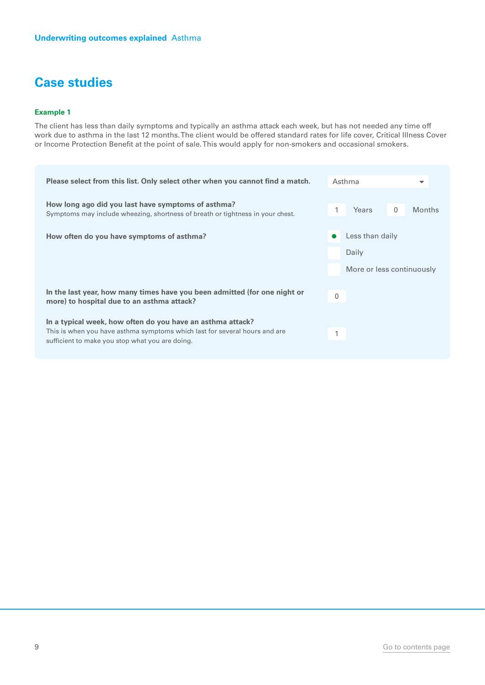#### **Example 1**

The client has less than daily symptoms and typically an asthma attack each week, but has not needed any time off work due to asthma in the last 12 months. The client would be offered standard rates for life cover, Critical Illness Cover or Income Protection Benefit at the point of sale. This would apply for non-smokers and occasional smokers.

| Please select from this list. Only select other when you cannot find a match.                                                                                                               | Asthma                    | $\overline{\phantom{a}}$ |
|---------------------------------------------------------------------------------------------------------------------------------------------------------------------------------------------|---------------------------|--------------------------|
| How long ago did you last have symptoms of asthma?<br>Symptoms may include wheezing, shortness of breath or tightness in your chest.                                                        | Years<br>$\mathbf{0}$     | <b>Months</b>            |
| How often do you have symptoms of asthma?                                                                                                                                                   | Less than daily           |                          |
|                                                                                                                                                                                             | Daily                     |                          |
|                                                                                                                                                                                             | More or less continuously |                          |
| In the last year, how many times have you been admitted (for one night or<br>more) to hospital due to an asthma attack?                                                                     | $\Omega$                  |                          |
| In a typical week, how often do you have an asthma attack?<br>This is when you have asthma symptoms which last for several hours and are<br>sufficient to make you stop what you are doing. | 1                         |                          |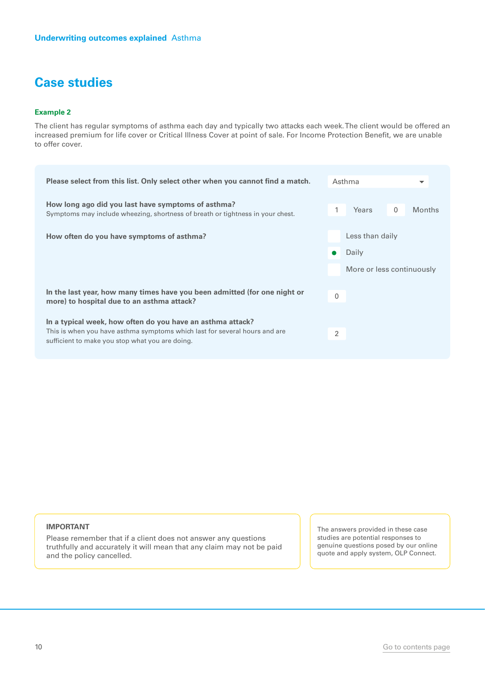#### **Example 2**

The client has regular symptoms of asthma each day and typically two attacks each week. The client would be offered an increased premium for life cover or Critical Illness Cover at point of sale. For Income Protection Benefit, we are unable to offer cover.

| Please select from this list. Only select other when you cannot find a match.                                                        |              | Asthma                    |              | ▼             |
|--------------------------------------------------------------------------------------------------------------------------------------|--------------|---------------------------|--------------|---------------|
| How long ago did you last have symptoms of asthma?<br>Symptoms may include wheezing, shortness of breath or tightness in your chest. | 1            | Years                     | $\mathbf{0}$ | <b>Months</b> |
| How often do you have symptoms of asthma?                                                                                            |              | Less than daily           |              |               |
|                                                                                                                                      |              | Daily                     |              |               |
|                                                                                                                                      |              | More or less continuously |              |               |
| In the last year, how many times have you been admitted (for one night or<br>more) to hospital due to an asthma attack?              | $\mathbf{0}$ |                           |              |               |
| In a typical week, how often do you have an asthma attack?                                                                           |              |                           |              |               |
| This is when you have asthma symptoms which last for several hours and are<br>sufficient to make you stop what you are doing.        | 2            |                           |              |               |
|                                                                                                                                      |              |                           |              |               |

#### **IMPORTANT**

Please remember that if a client does not answer any questions truthfully and accurately it will mean that any claim may not be paid and the policy cancelled.

The answers provided in these case studies are potential responses to genuine questions posed by our online quote and apply system, OLP Connect.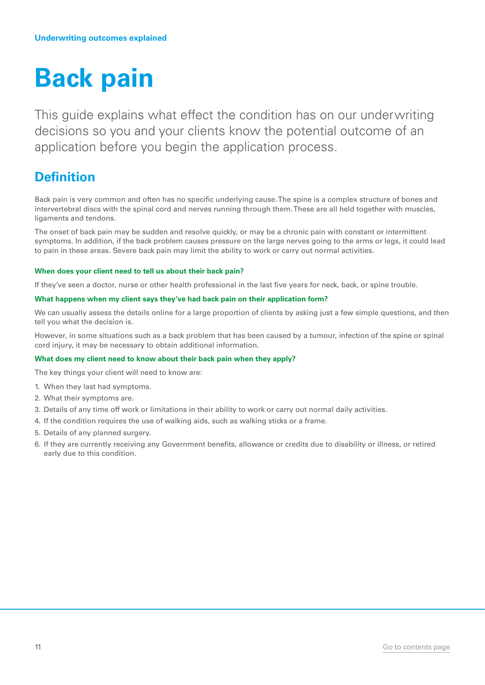## <span id="page-10-0"></span>**Back pain**

This guide explains what effect the condition has on our underwriting decisions so you and your clients know the potential outcome of an application before you begin the application process.

### **Definition**

Back pain is very common and often has no specific underlying cause. The spine is a complex structure of bones and intervertebral discs with the spinal cord and nerves running through them. These are all held together with muscles, ligaments and tendons.

The onset of back pain may be sudden and resolve quickly, or may be a chronic pain with constant or intermittent symptoms. In addition, if the back problem causes pressure on the large nerves going to the arms or legs, it could lead to pain in these areas. Severe back pain may limit the ability to work or carry out normal activities.

#### **When does your client need to tell us about their back pain?**

If they've seen a doctor, nurse or other health professional in the last five years for neck, back, or spine trouble.

#### **What happens when my client says they've had back pain on their application form?**

We can usually assess the details online for a large proportion of clients by asking just a few simple questions, and then tell you what the decision is.

However, in some situations such as a back problem that has been caused by a tumour, infection of the spine or spinal cord injury, it may be necessary to obtain additional information.

#### **What does my client need to know about their back pain when they apply?**

The key things your client will need to know are:

- 1. When they last had symptoms.
- 2. What their symptoms are.
- 3. Details of any time off work or limitations in their ability to work or carry out normal daily activities.
- 4. If the condition requires the use of walking aids, such as walking sticks or a frame.
- 5. Details of any planned surgery.
- 6. If they are currently receiving any Government benefits, allowance or credits due to disability or illness, or retired early due to this condition.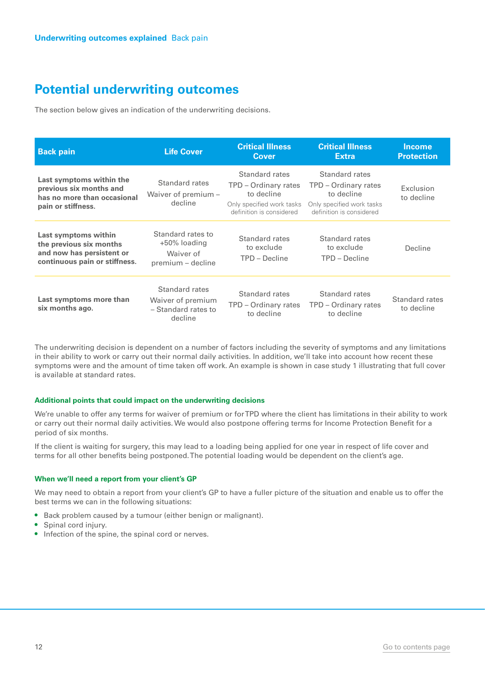The section below gives an indication of the underwriting decisions.

| <b>Back pain</b>                                                                                              | <b>Life Cover</b>                                                     | <b>Critical Illness</b><br>Cover                                                                              | <b>Critical Illness</b><br><b>Extra</b>                                                                       | <b>Income</b><br><b>Protection</b> |
|---------------------------------------------------------------------------------------------------------------|-----------------------------------------------------------------------|---------------------------------------------------------------------------------------------------------------|---------------------------------------------------------------------------------------------------------------|------------------------------------|
| Last symptoms within the<br>previous six months and<br>has no more than occasional<br>pain or stiffness.      | Standard rates<br>Waiver of premium -<br>decline                      | Standard rates<br>TPD – Ordinary rates<br>to decline<br>Only specified work tasks<br>definition is considered | Standard rates<br>TPD - Ordinary rates<br>to decline<br>Only specified work tasks<br>definition is considered | Exclusion<br>to decline            |
| Last symptoms within<br>the previous six months<br>and now has persistent or<br>continuous pain or stiffness. | Standard rates to<br>+50% loading<br>Waiver of<br>premium - decline   | Standard rates<br>to exclude<br>TPD - Decline                                                                 | Standard rates<br>to exclude<br>TPD - Decline                                                                 | Decline                            |
| Last symptoms more than<br>six months ago.                                                                    | Standard rates<br>Waiver of premium<br>- Standard rates to<br>decline | Standard rates<br>TPD - Ordinary rates<br>to decline                                                          | Standard rates<br>TPD - Ordinary rates<br>to decline                                                          | Standard rates<br>to decline       |

The underwriting decision is dependent on a number of factors including the severity of symptoms and any limitations in their ability to work or carry out their normal daily activities. In addition, we'll take into account how recent these symptoms were and the amount of time taken off work. An example is shown in case study 1 illustrating that full cover is available at standard rates.

#### **Additional points that could impact on the underwriting decisions**

We're unable to offer any terms for waiver of premium or for TPD where the client has limitations in their ability to work or carry out their normal daily activities. We would also postpone offering terms for Income Protection Benefit for a period of six months.

If the client is waiting for surgery, this may lead to a loading being applied for one year in respect of life cover and terms for all other benefits being postponed. The potential loading would be dependent on the client's age.

#### **When we'll need a report from your client's GP**

We may need to obtain a report from your client's GP to have a fuller picture of the situation and enable us to offer the best terms we can in the following situations:

- Back problem caused by a tumour (either benign or malignant).
- Spinal cord injury.
- Infection of the spine, the spinal cord or nerves.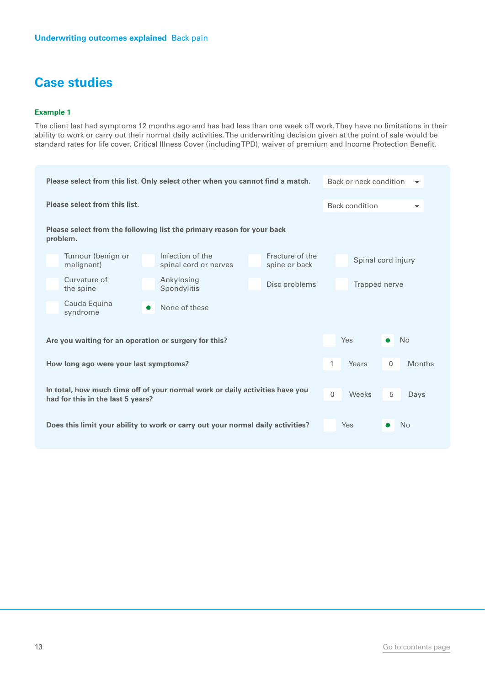#### **Example 1**

The client last had symptoms 12 months ago and has had less than one week off work. They have no limitations in their ability to work or carry out their normal daily activities. The underwriting decision given at the point of sale would be standard rates for life cover, Critical Illness Cover (including TPD), waiver of premium and Income Protection Benefit.

| Please select from this list. Only select other when you cannot find a match.                                     |                                           |                                  | Back or neck condition |                       | $\overline{\phantom{a}}$ |                      |
|-------------------------------------------------------------------------------------------------------------------|-------------------------------------------|----------------------------------|------------------------|-----------------------|--------------------------|----------------------|
| Please select from this list.                                                                                     |                                           |                                  |                        | <b>Back condition</b> |                          | $\blacktriangledown$ |
|                                                                                                                   |                                           |                                  |                        |                       |                          |                      |
| Please select from the following list the primary reason for your back<br>problem.                                |                                           |                                  |                        |                       |                          |                      |
| Tumour (benign or<br>malignant)                                                                                   | Infection of the<br>spinal cord or nerves | Fracture of the<br>spine or back |                        | Spinal cord injury    |                          |                      |
| Curvature of<br>the spine                                                                                         | Ankylosing<br>Spondylitis                 | Disc problems                    |                        | Trapped nerve         |                          |                      |
| Cauda Equina<br>syndrome                                                                                          | None of these                             |                                  |                        |                       |                          |                      |
|                                                                                                                   |                                           |                                  |                        |                       |                          |                      |
| Are you waiting for an operation or surgery for this?                                                             |                                           |                                  |                        | Yes                   |                          | No                   |
| How long ago were your last symptoms?                                                                             |                                           |                                  | 1                      | Years                 | $\mathbf{0}$             | <b>Months</b>        |
| In total, how much time off of your normal work or daily activities have you<br>had for this in the last 5 years? |                                           |                                  | 0                      | Weeks                 | 5                        | Days                 |
| Does this limit your ability to work or carry out your normal daily activities?                                   |                                           |                                  |                        | Yes                   |                          | N <sub>o</sub>       |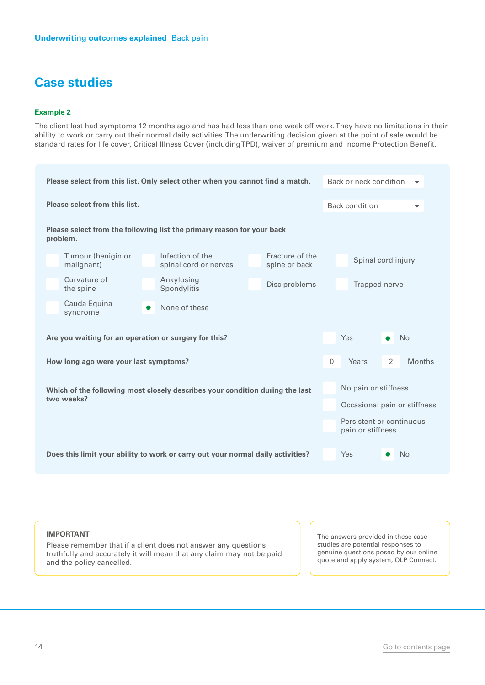#### **Example 2**

The client last had symptoms 12 months ago and has had less than one week off work. They have no limitations in their ability to work or carry out their normal daily activities. The underwriting decision given at the point of sale would be standard rates for life cover, Critical Illness Cover (including TPD), waiver of premium and Income Protection Benefit.

| Please select from this list. Only select other when you cannot find a match.   |                                                                        |                                  |                              | Back or neck condition                        |   |                          |
|---------------------------------------------------------------------------------|------------------------------------------------------------------------|----------------------------------|------------------------------|-----------------------------------------------|---|--------------------------|
| Please select from this list.                                                   |                                                                        |                                  |                              | <b>Back condition</b>                         |   | $\overline{\phantom{0}}$ |
| problem.                                                                        | Please select from the following list the primary reason for your back |                                  |                              |                                               |   |                          |
| Tumour (benigin or<br>malignant)                                                | Infection of the<br>spinal cord or nerves                              | Fracture of the<br>spine or back |                              | Spinal cord injury                            |   |                          |
| Curvature of<br>the spine                                                       | Ankylosing<br>Spondylitis                                              | Disc problems<br>Trapped nerve   |                              |                                               |   |                          |
| Cauda Equina<br>syndrome                                                        | None of these                                                          |                                  |                              |                                               |   |                          |
| Are you waiting for an operation or surgery for this?                           |                                                                        | Yes                              | $\bullet$                    | <b>No</b>                                     |   |                          |
| How long ago were your last symptoms?                                           |                                                                        |                                  | $\mathbf{0}$                 | Years                                         | 2 | <b>Months</b>            |
| Which of the following most closely describes your condition during the last    |                                                                        |                                  |                              | No pain or stiffness                          |   |                          |
| two weeks?                                                                      |                                                                        |                                  | Occasional pain or stiffness |                                               |   |                          |
|                                                                                 |                                                                        |                                  |                              | Persistent or continuous<br>pain or stiffness |   |                          |
| Does this limit your ability to work or carry out your normal daily activities? |                                                                        |                                  |                              | Yes                                           |   | No                       |

#### **IMPORTANT**

Please remember that if a client does not answer any questions truthfully and accurately it will mean that any claim may not be paid and the policy cancelled.

The answers provided in these case studies are potential responses to genuine questions posed by our online quote and apply system, OLP Connect.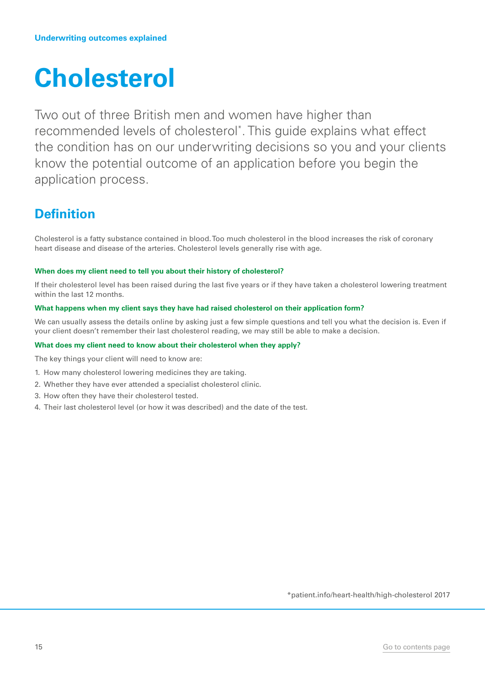## <span id="page-14-0"></span>**Cholesterol**

Two out of three British men and women have higher than recommended levels of cholesterol\* . This guide explains what effect the condition has on our underwriting decisions so you and your clients know the potential outcome of an application before you begin the application process.

## **Definition**

Cholesterol is a fatty substance contained in blood. Too much cholesterol in the blood increases the risk of coronary heart disease and disease of the arteries. Cholesterol levels generally rise with age.

#### **When does my client need to tell you about their history of cholesterol?**

If their cholesterol level has been raised during the last five years or if they have taken a cholesterol lowering treatment within the last 12 months.

#### **What happens when my client says they have had raised cholesterol on their application form?**

We can usually assess the details online by asking just a few simple questions and tell you what the decision is. Even if your client doesn't remember their last cholesterol reading, we may still be able to make a decision.

#### **What does my client need to know about their cholesterol when they apply?**

The key things your client will need to know are:

- 1. How many cholesterol lowering medicines they are taking.
- 2. Whether they have ever attended a specialist cholesterol clinic.
- 3. How often they have their cholesterol tested.
- 4. Their last cholesterol level (or how it was described) and the date of the test.

\*patient.info/heart-health/high-cholesterol 2017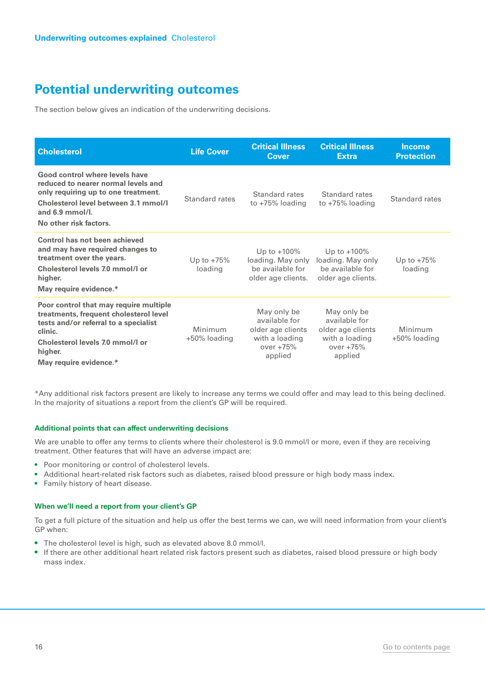The section below gives an indication of the underwriting decisions.

| <b>Cholesterol</b>                                                                                                                                                                                           | <b>Life Cover</b>       | <b>Critical Illness</b><br><b>Cover</b>                                                       | <b>Critical Illness</b><br><b>Extra</b>                                                       | <b>Income</b><br><b>Protection</b> |
|--------------------------------------------------------------------------------------------------------------------------------------------------------------------------------------------------------------|-------------------------|-----------------------------------------------------------------------------------------------|-----------------------------------------------------------------------------------------------|------------------------------------|
| Good control where levels have<br>reduced to nearer normal levels and<br>only requiring up to one treatment.<br>Cholesterol level between 3.1 mmol/l<br>and $6.9$ mmol/l.<br>No other risk factors.          | Standard rates          | Standard rates<br>to $+75%$ loading                                                           | Standard rates<br>to $+75%$ loading                                                           | Standard rates                     |
| Control has not been achieved<br>and may have required changes to<br>treatment over the years.<br>Cholesterol levels 7.0 mmol/l or<br>higher.<br>May require evidence.*                                      | Up to $+75%$<br>loading | Up to $+100\%$<br>loading. May only<br>be available for<br>older age clients.                 | Up to $+100\%$<br>loading. May only<br>be available for<br>older age clients.                 | Up to $+75%$<br>loading            |
| Poor control that may require multiple<br>treatments, frequent cholesterol level<br>tests and/or referral to a specialist<br>clinic.<br>Cholesterol levels 7.0 mmol/Lor<br>higher.<br>May require evidence.* | Minimum<br>+50% loading | May only be<br>available for<br>older age clients<br>with a loading<br>over $+75%$<br>applied | May only be<br>available for<br>older age clients<br>with a loading<br>over $+75%$<br>applied | Minimum<br>+50% loading            |

\*Any additional risk factors present are likely to increase any terms we could offer and may lead to this being declined. In the majority of situations a report from the client's GP will be required.

#### **Additional points that can affect underwriting decisions**

We are unable to offer any terms to clients where their cholesterol is 9.0 mmol/l or more, even if they are receiving treatment. Other features that will have an adverse impact are:

- Poor monitoring or control of cholesterol levels.
- Additional heart-related risk factors such as diabetes, raised blood pressure or high body mass index.
- Family history of heart disease.

#### **When we'll need a report from your client's GP**

To get a full picture of the situation and help us offer the best terms we can, we will need information from your client's GP when:

- The cholesterol level is high, such as elevated above 8.0 mmol/l.
- If there are other additional heart related risk factors present such as diabetes, raised blood pressure or high body mass index.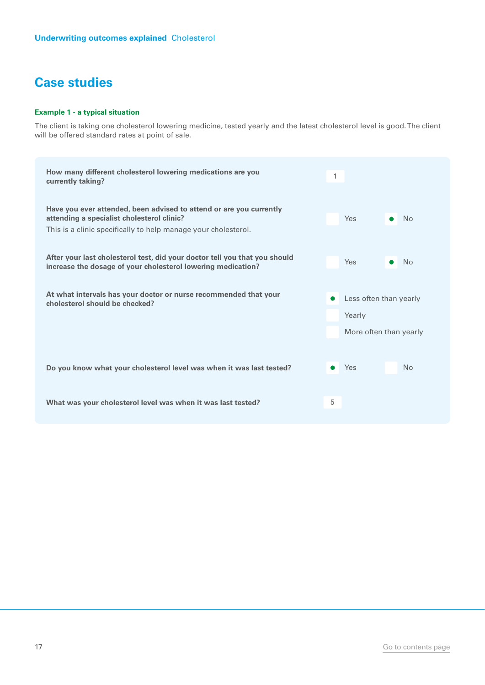#### **Example 1 - a typical situation**

The client is taking one cholesterol lowering medicine, tested yearly and the latest cholesterol level is good. The client will be offered standard rates at point of sale.

| How many different cholesterol lowering medications are you<br>currently taking?                                                                                                    | 1                                                                       |
|-------------------------------------------------------------------------------------------------------------------------------------------------------------------------------------|-------------------------------------------------------------------------|
| Have you ever attended, been advised to attend or are you currently<br>attending a specialist cholesterol clinic?<br>This is a clinic specifically to help manage your cholesterol. | <b>Yes</b><br>N <sub>o</sub>                                            |
| After your last cholesterol test, did your doctor tell you that you should<br>increase the dosage of your cholesterol lowering medication?                                          | <b>Yes</b><br>No                                                        |
| At what intervals has your doctor or nurse recommended that your<br>cholesterol should be checked?                                                                                  | Less often than yearly<br>$\bullet$<br>Yearly<br>More often than yearly |
| Do you know what your cholesterol level was when it was last tested?                                                                                                                | Yes<br>N <sub>o</sub>                                                   |
| What was your cholesterol level was when it was last tested?                                                                                                                        | 5                                                                       |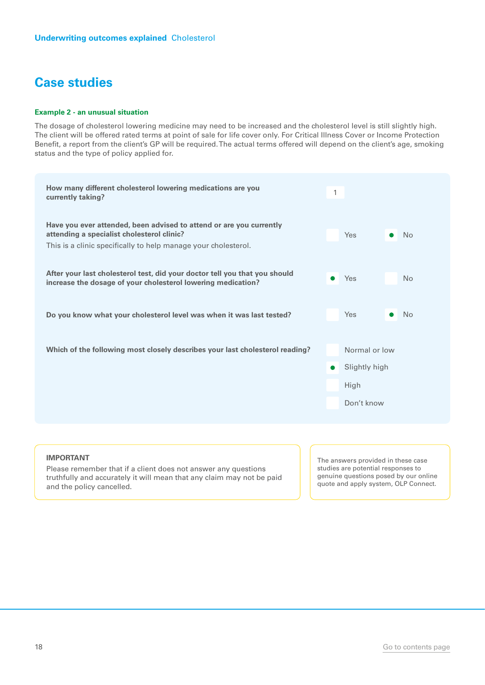#### **Example 2 - an unusual situation**

The dosage of cholesterol lowering medicine may need to be increased and the cholesterol level is still slightly high. The client will be offered rated terms at point of sale for life cover only. For Critical Illness Cover or Income Protection Benefit, a report from the client's GP will be required. The actual terms offered will depend on the client's age, smoking status and the type of policy applied for.

| How many different cholesterol lowering medications are you<br>currently taking?                                                                                                    | 1                                                                 |  |
|-------------------------------------------------------------------------------------------------------------------------------------------------------------------------------------|-------------------------------------------------------------------|--|
| Have you ever attended, been advised to attend or are you currently<br>attending a specialist cholesterol clinic?<br>This is a clinic specifically to help manage your cholesterol. | Yes<br>N <sub>o</sub>                                             |  |
| After your last cholesterol test, did your doctor tell you that you should<br>increase the dosage of your cholesterol lowering medication?                                          | Yes<br>No<br>$\bullet$                                            |  |
| Do you know what your cholesterol level was when it was last tested?                                                                                                                | Yes<br><b>No</b>                                                  |  |
| Which of the following most closely describes your last cholesterol reading?                                                                                                        | Normal or low<br>Slightly high<br>$\bullet$<br>High<br>Don't know |  |
|                                                                                                                                                                                     |                                                                   |  |

#### **IMPORTANT**

Please remember that if a client does not answer any questions truthfully and accurately it will mean that any claim may not be paid and the policy cancelled.

The answers provided in these case studies are potential responses to genuine questions posed by our online quote and apply system, OLP Connect.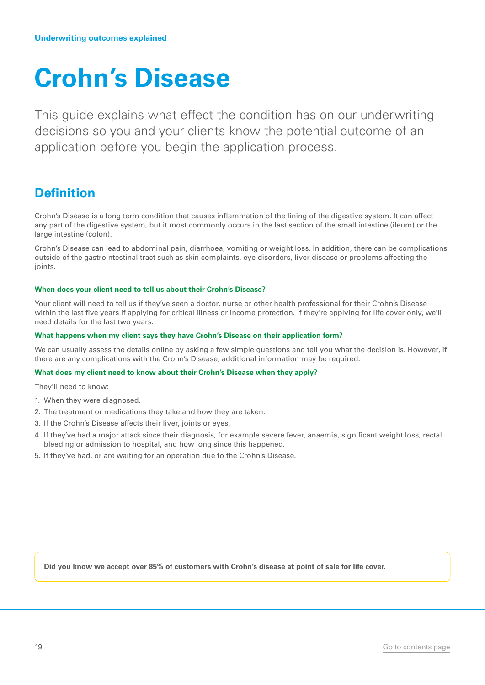## <span id="page-18-0"></span>**Crohn's Disease**

This guide explains what effect the condition has on our underwriting decisions so you and your clients know the potential outcome of an application before you begin the application process.

## **Definition**

Crohn's Disease is a long term condition that causes inflammation of the lining of the digestive system. It can affect any part of the digestive system, but it most commonly occurs in the last section of the small intestine (ileum) or the large intestine (colon).

Crohn's Disease can lead to abdominal pain, diarrhoea, vomiting or weight loss. In addition, there can be complications outside of the gastrointestinal tract such as skin complaints, eye disorders, liver disease or problems affecting the joints.

#### **When does your client need to tell us about their Crohn's Disease?**

Your client will need to tell us if they've seen a doctor, nurse or other health professional for their Crohn's Disease within the last five years if applying for critical illness or income protection. If they're applying for life cover only, we'll need details for the last two years.

#### **What happens when my client says they have Crohn's Disease on their application form?**

We can usually assess the details online by asking a few simple questions and tell you what the decision is. However, if there are any complications with the Crohn's Disease, additional information may be required.

#### **What does my client need to know about their Crohn's Disease when they apply?**

They'll need to know:

- 1. When they were diagnosed.
- 2. The treatment or medications they take and how they are taken.
- 3. If the Crohn's Disease affects their liver, joints or eyes.
- 4. If they've had a major attack since their diagnosis, for example severe fever, anaemia, significant weight loss, rectal bleeding or admission to hospital, and how long since this happened.
- 5. If they've had, or are waiting for an operation due to the Crohn's Disease.

**Did you know we accept over 85% of customers with Crohn's disease at point of sale for life cover.**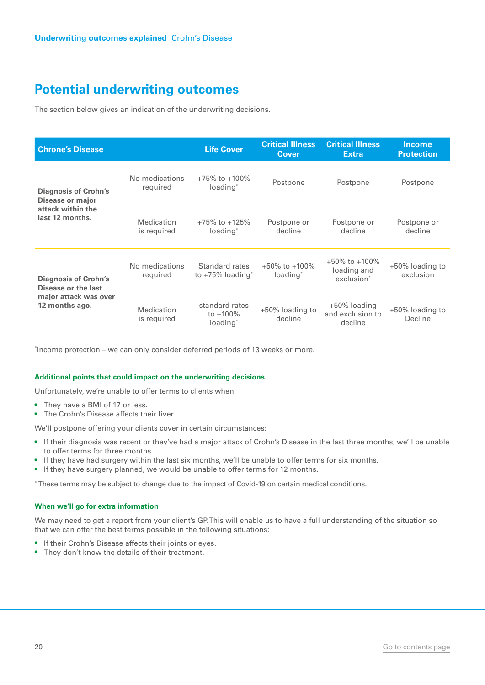The section below gives an indication of the underwriting decisions.

| <b>Chrone's Disease</b>                            |                            | <b>Life Cover</b>                                     | <b>Critical Illness</b><br><b>Cover</b>     | <b>Critical Illness</b><br><b>Extra</b>                      | <b>Income</b><br><b>Protection</b> |
|----------------------------------------------------|----------------------------|-------------------------------------------------------|---------------------------------------------|--------------------------------------------------------------|------------------------------------|
| <b>Diagnosis of Crohn's</b><br>Disease or major    | No medications<br>reguired | $+75\%$ to $+100\%$<br>loading <sup>*</sup>           | Postpone                                    | Postpone                                                     | Postpone                           |
| attack within the<br>last 12 months.               | Medication<br>is required  | $+75\%$ to $+125\%$<br>loading <sup>*</sup>           | Postpone or<br>decline                      | Postpone or<br>decline                                       | Postpone or<br>decline             |
| <b>Diagnosis of Crohn's</b><br>Disease or the last | No medications<br>required | Standard rates<br>to $+75\%$ loading <sup>*</sup>     | $+50\%$ to $+100\%$<br>loading <sup>*</sup> | $+50\%$ to $+100\%$<br>loading and<br>exclusion <sup>*</sup> | +50% loading to<br>exclusion       |
| major attack was over<br>12 months ago.            | Medication<br>is required  | standard rates<br>to $+100\%$<br>loading <sup>*</sup> | +50% loading to<br>decline                  | +50% loading<br>and exclusion to<br>decline                  | +50% loading to<br>Decline         |

\* Income protection – we can only consider deferred periods of 13 weeks or more.

#### **Additional points that could impact on the underwriting decisions**

Unfortunately, we're unable to offer terms to clients when:

- They have a BMI of 17 or less.
- The Crohn's Disease affects their liver.

We'll postpone offering your clients cover in certain circumstances:

- If their diagnosis was recent or they've had a major attack of Crohn's Disease in the last three months, we'll be unable to offer terms for three months.
- If they have had surgery within the last six months, we'll be unable to offer terms for six months.
- If they have surgery planned, we would be unable to offer terms for 12 months.

\* These terms may be subject to change due to the impact of Covid-19 on certain medical conditions.

#### **When we'll go for extra information**

We may need to get a report from your client's GP. This will enable us to have a full understanding of the situation so that we can offer the best terms possible in the following situations:

- If their Crohn's Disease affects their joints or eyes.
- They don't know the details of their treatment.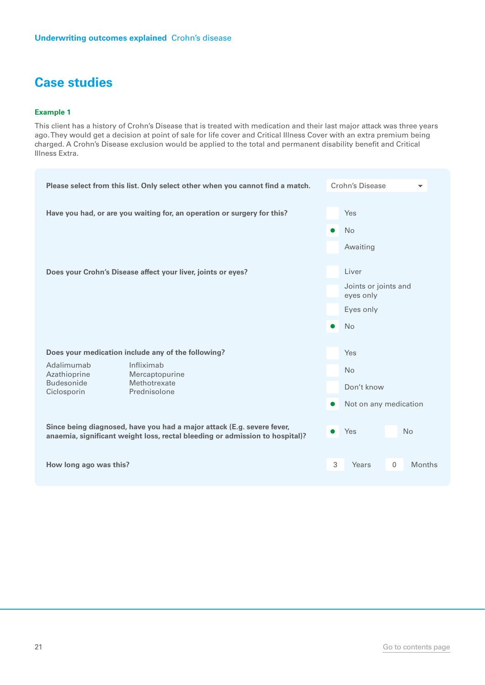#### **Example 1**

This client has a history of Crohn's Disease that is treated with medication and their last major attack was three years ago. They would get a decision at point of sale for life cover and Critical Illness Cover with an extra premium being charged. A Crohn's Disease exclusion would be applied to the total and permanent disability benefit and Critical Illness Extra.

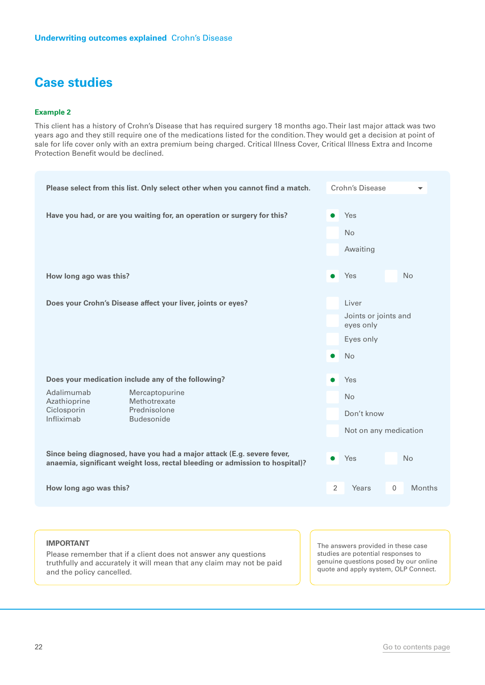#### **Example 2**

This client has a history of Crohn's Disease that has required surgery 18 months ago. Their last major attack was two years ago and they still require one of the medications listed for the condition. They would get a decision at point of sale for life cover only with an extra premium being charged. Critical Illness Cover, Critical Illness Extra and Income Protection Benefit would be declined.



truthfully and accurately it will mean that any claim may not be paid and the policy cancelled.

genuine questions posed by our online quote and apply system, OLP Connect.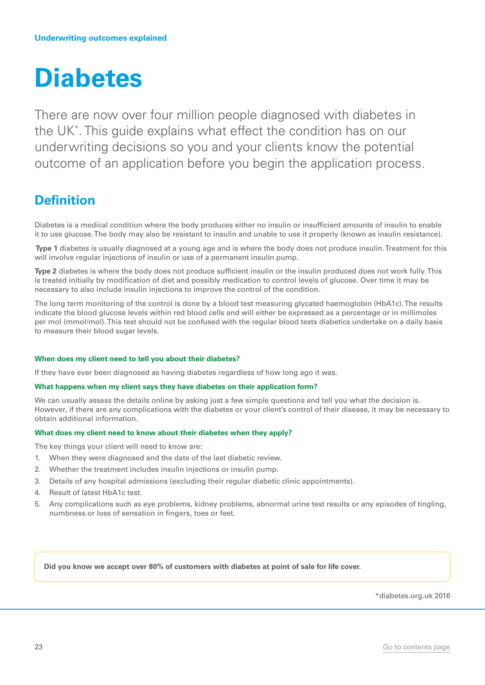## <span id="page-22-0"></span>**Diabetes**

There are now over four million people diagnosed with diabetes in the UK\* . This guide explains what effect the condition has on our underwriting decisions so you and your clients know the potential outcome of an application before you begin the application process.

## **Definition**

Diabetes is a medical condition where the body produces either no insulin or insufficient amounts of insulin to enable it to use glucose. The body may also be resistant to insulin and unable to use it properly (known as insulin resistance).

 **Type 1** diabetes is usually diagnosed at a young age and is where the body does not produce insulin. Treatment for this will involve regular injections of insulin or use of a permanent insulin pump.

**Type 2** diabetes is where the body does not produce sufficient insulin or the insulin produced does not work fully. This is treated initially by modification of diet and possibly medication to control levels of glucose. Over time it may be necessary to also include insulin injections to improve the control of the condition.

The long term monitoring of the control is done by a blood test measuring glycated haemoglobin (HbA1c). The results indicate the blood glucose levels within red blood cells and will either be expressed as a percentage or in millimoles per mol (mmol/mol). This test should not be confused with the regular blood tests diabetics undertake on a daily basis to measure their blood sugar levels.

#### **When does my client need to tell you about their diabetes?**

If they have ever been diagnosed as having diabetes regardless of how long ago it was.

#### **What happens when my client says they have diabetes on their application form?**

We can usually assess the details online by asking just a few simple questions and tell you what the decision is. However, if there are any complications with the diabetes or your client's control of their disease, it may be necessary to obtain additional information.

#### **What does my client need to know about their diabetes when they apply?**

The key things your client will need to know are:

- 1. When they were diagnosed and the date of the last diabetic review.
- 2. Whether the treatment includes insulin injections or insulin pump.
- 3. Details of any hospital admissions (excluding their regular diabetic clinic appointments).
- 4. Result of latest HbA1c test.
- 5. Any complications such as eye problems, kidney problems, abnormal urine test results or any episodes of tingling, numbness or loss of sensation in fingers, toes or feet.

**Did you know we accept over 80% of customers with diabetes at point of sale for life cover.**

\*diabetes.org.uk 2016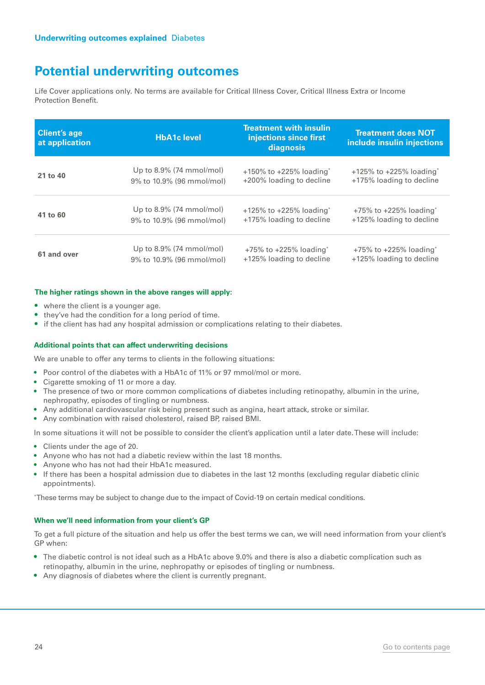Life Cover applications only. No terms are available for Critical Illness Cover, Critical Illness Extra or Income Protection Benefit.

| <b>Client's age</b><br>at application | <b>HbA1c level</b>          | <b>Treatment with insulin</b><br>injections since first<br>diagnosis | <b>Treatment does NOT</b><br>include insulin injections |
|---------------------------------------|-----------------------------|----------------------------------------------------------------------|---------------------------------------------------------|
| 21 to 40                              | Up to $8.9\%$ (74 mmol/mol) | $+150\%$ to $+225\%$ loading <sup>*</sup>                            | $+125\%$ to $+225\%$ loading <sup>*</sup>               |
|                                       | 9% to 10.9% (96 mmol/mol)   | +200% loading to decline                                             | +175% loading to decline                                |
| 41 to 60                              | Up to $8.9\%$ (74 mmol/mol) | $+125\%$ to $+225\%$ loading <sup>*</sup>                            | $+75\%$ to $+225\%$ loading <sup>*</sup>                |
|                                       | 9% to 10.9% (96 mmol/mol)   | +175% loading to decline                                             | +125% loading to decline                                |
| 61 and over                           | Up to 8.9% (74 mmol/mol)    | $+75\%$ to $+225\%$ loading <sup>*</sup>                             | $+75\%$ to $+225\%$ loading <sup>*</sup>                |
|                                       | 9% to 10.9% (96 mmol/mol)   | +125% loading to decline                                             | +125% loading to decline                                |

#### **The higher ratings shown in the above ranges will apply:**

- where the client is a younger age.
- they've had the condition for a long period of time.
- if the client has had any hospital admission or complications relating to their diabetes.

#### **Additional points that can affect underwriting decisions**

We are unable to offer any terms to clients in the following situations:

- Poor control of the diabetes with a HbA1c of 11% or 97 mmol/mol or more.
- Cigarette smoking of 11 or more a day.
- The presence of two or more common complications of diabetes including retinopathy, albumin in the urine, nephropathy, episodes of tingling or numbness.
- Any additional cardiovascular risk being present such as angina, heart attack, stroke or similar.
- Any combination with raised cholesterol, raised BP, raised BMI.

In some situations it will not be possible to consider the client's application until a later date. These will include:

- Clients under the age of 20.
- Anyone who has not had a diabetic review within the last 18 months.
- Anyone who has not had their HbA1c measured.
- If there has been a hospital admission due to diabetes in the last 12 months (excluding regular diabetic clinic appointments).

\* These terms may be subject to change due to the impact of Covid-19 on certain medical conditions.

#### **When we'll need information from your client's GP**

To get a full picture of the situation and help us offer the best terms we can, we will need information from your client's GP when:

- The diabetic control is not ideal such as a HbA1c above 9.0% and there is also a diabetic complication such as retinopathy, albumin in the urine, nephropathy or episodes of tingling or numbness.
- Any diagnosis of diabetes where the client is currently pregnant.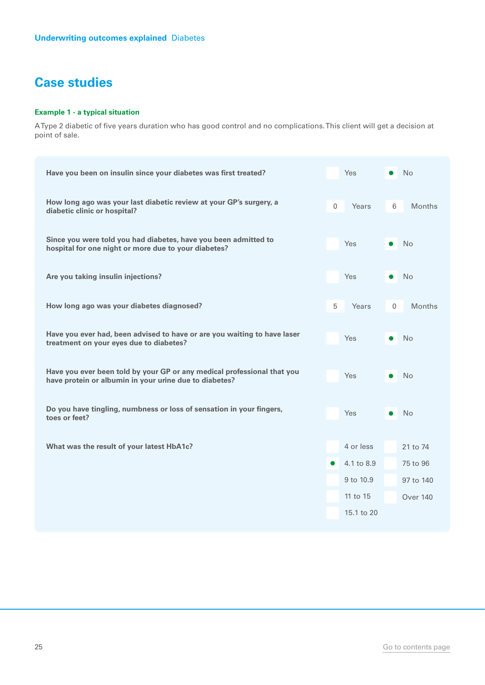#### **Example 1 - a typical situation**

A Type 2 diabetic of five years duration who has good control and no complications. This client will get a decision at point of sale.

| Have you been on insulin since your diabetes was first treated?                                                                   |              | <b>Yes</b> |             | N <sub>o</sub>  |
|-----------------------------------------------------------------------------------------------------------------------------------|--------------|------------|-------------|-----------------|
| How long ago was your last diabetic review at your GP's surgery, a<br>diabetic clinic or hospital?                                | $\mathbf{0}$ | Years      | 6           | <b>Months</b>   |
| Since you were told you had diabetes, have you been admitted to<br>hospital for one night or more due to your diabetes?           |              | Yes        |             | <b>No</b>       |
| Are you taking insulin injections?                                                                                                |              | <b>Yes</b> |             | <b>No</b>       |
| How long ago was your diabetes diagnosed?                                                                                         | 5            | Years      | $\mathbf 0$ | <b>Months</b>   |
| Have you ever had, been advised to have or are you waiting to have laser<br>treatment on your eyes due to diabetes?               |              | Yes        |             | <b>No</b>       |
| Have you ever been told by your GP or any medical professional that you<br>have protein or albumin in your urine due to diabetes? |              | Yes        |             | <b>No</b>       |
| Do you have tingling, numbness or loss of sensation in your fingers,<br>toes or feet?                                             |              | <b>Yes</b> |             | <b>No</b>       |
| What was the result of your latest HbA1c?                                                                                         |              | 4 or less  |             | 21 to 74        |
|                                                                                                                                   | $\bullet$    | 4.1 to 8.9 |             | 75 to 96        |
|                                                                                                                                   |              | 9 to 10.9  |             | 97 to 140       |
|                                                                                                                                   |              | 11 to 15   |             | <b>Over 140</b> |
|                                                                                                                                   |              | 15.1 to 20 |             |                 |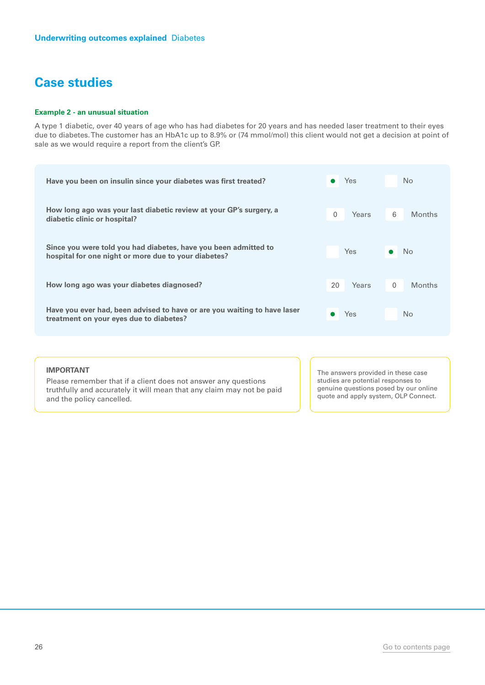#### **Example 2 - an unusual situation**

A type 1 diabetic, over 40 years of age who has had diabetes for 20 years and has needed laser treatment to their eyes due to diabetes. The customer has an HbA1c up to 8.9% or (74 mmol/mol) this client would not get a decision at point of sale as we would require a report from the client's GP.

|   | Yes        |          | N <sub>o</sub> |
|---|------------|----------|----------------|
| 0 | Years      | 6        | <b>Months</b>  |
|   | <b>Yes</b> |          | No             |
|   | Years      | $\Omega$ | <b>Months</b>  |
|   | Yes        |          | N <sub>o</sub> |
|   |            | 20       |                |

#### **IMPORTANT**

Please remember that if a client does not answer any questions truthfully and accurately it will mean that any claim may not be paid and the policy cancelled.

The answers provided in these case studies are potential responses to genuine questions posed by our online quote and apply system, OLP Connect.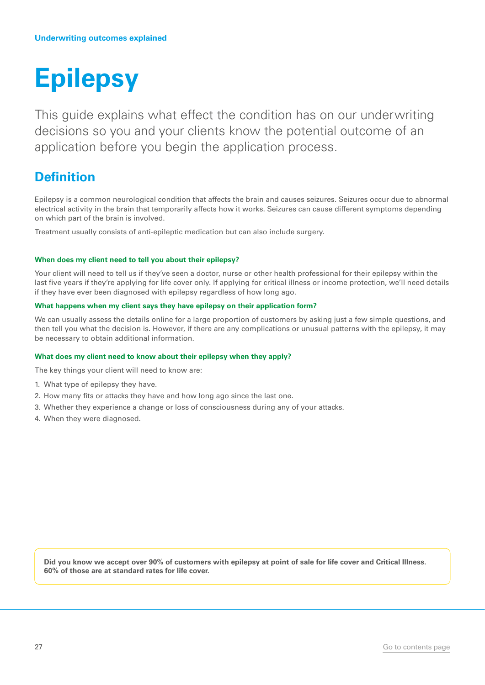## <span id="page-26-0"></span>**Epilepsy**

This guide explains what effect the condition has on our underwriting decisions so you and your clients know the potential outcome of an application before you begin the application process.

### **Definition**

Epilepsy is a common neurological condition that affects the brain and causes seizures. Seizures occur due to abnormal electrical activity in the brain that temporarily affects how it works. Seizures can cause different symptoms depending on which part of the brain is involved.

Treatment usually consists of anti-epileptic medication but can also include surgery.

#### **When does my client need to tell you about their epilepsy?**

Your client will need to tell us if they've seen a doctor, nurse or other health professional for their epilepsy within the last five years if they're applying for life cover only. If applying for critical illness or income protection, we'll need details if they have ever been diagnosed with epilepsy regardless of how long ago.

#### **What happens when my client says they have epilepsy on their application form?**

We can usually assess the details online for a large proportion of customers by asking just a few simple questions, and then tell you what the decision is. However, if there are any complications or unusual patterns with the epilepsy, it may be necessary to obtain additional information.

#### **What does my client need to know about their epilepsy when they apply?**

The key things your client will need to know are:

- 1. What type of epilepsy they have.
- 2. How many fits or attacks they have and how long ago since the last one.
- 3. Whether they experience a change or loss of consciousness during any of your attacks.
- 4. When they were diagnosed.

**Did you know we accept over 90% of customers with epilepsy at point of sale for life cover and Critical Illness. 60% of those are at standard rates for life cover.**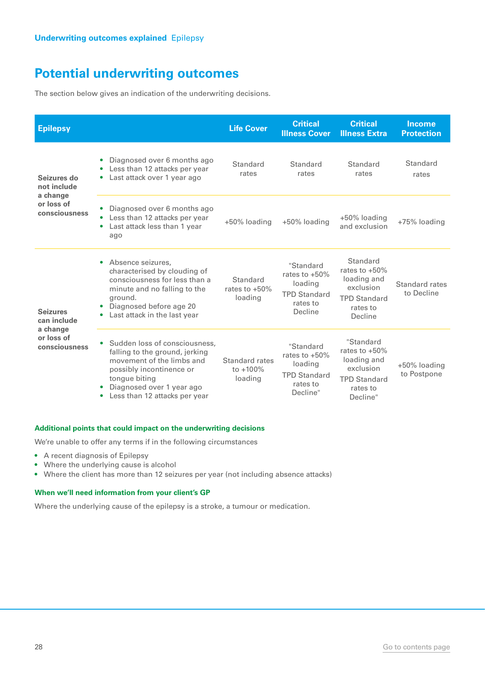The section below gives an indication of the underwriting decisions.

| <b>Epilepsy</b>                                                           |                                                                                                                                                                                                                    | <b>Life Cover</b>                       | <b>Critical</b><br><b>Illness Cover</b>                                                | <b>Critical</b><br><b>Illness Extra</b>                                                                  | <b>Income</b><br><b>Protection</b> |
|---------------------------------------------------------------------------|--------------------------------------------------------------------------------------------------------------------------------------------------------------------------------------------------------------------|-----------------------------------------|----------------------------------------------------------------------------------------|----------------------------------------------------------------------------------------------------------|------------------------------------|
| Seizures do<br>not include                                                | Diagnosed over 6 months ago<br>Less than 12 attacks per year<br>$\bullet$<br>Last attack over 1 year ago<br>۰                                                                                                      | Standard<br>rates                       | Standard<br>rates                                                                      | Standard<br>rates                                                                                        | Standard<br>rates                  |
| a change<br>or loss of<br>consciousness                                   | Diagnosed over 6 months ago<br>Less than 12 attacks per year<br>Last attack less than 1 year<br>ago                                                                                                                | +50% loading                            | +50% loading                                                                           | +50% loading<br>and exclusion                                                                            | +75% loading                       |
| <b>Seizures</b><br>can include<br>a change<br>or loss of<br>consciousness | Absence seizures,<br>$\bullet$<br>characterised by clouding of<br>consciousness for less than a<br>minute and no falling to the<br>ground.<br>Diagnosed before age 20<br>$\bullet$<br>Last attack in the last year | Standard<br>rates to $+50\%$<br>loading | "Standard<br>rates to $+50\%$<br>loading<br><b>TPD Standard</b><br>rates to<br>Decline | Standard<br>rates to $+50\%$<br>loading and<br>exclusion<br><b>TPD Standard</b><br>rates to<br>Decline   | Standard rates<br>to Decline       |
|                                                                           | Sudden loss of consciousness,<br>falling to the ground, jerking<br>movement of the limbs and<br>possibly incontinence or<br>tongue biting<br>Diagnosed over 1 year ago<br>Less than 12 attacks per year            | Standard rates<br>to +100%<br>loading   | "Standard<br>rates to +50%<br>loading<br><b>TPD Standard</b><br>rates to<br>Decline"   | "Standard<br>rates to $+50\%$<br>loading and<br>exclusion<br><b>TPD Standard</b><br>rates to<br>Decline" | +50% loading<br>to Postpone        |

#### **Additional points that could impact on the underwriting decisions**

We're unable to offer any terms if in the following circumstances

- A recent diagnosis of Epilepsy
- Where the underlying cause is alcohol
- Where the client has more than 12 seizures per year (not including absence attacks)

#### **When we'll need information from your client's GP**

Where the underlying cause of the epilepsy is a stroke, a tumour or medication.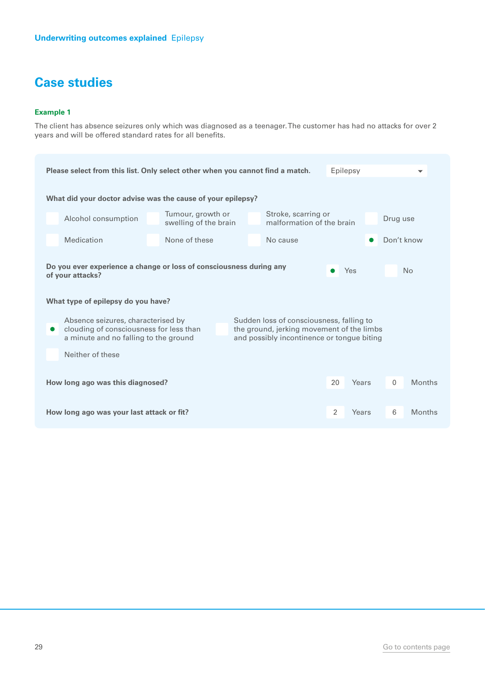#### **Example 1**

The client has absence seizures only which was diagnosed as a teenager. The customer has had no attacks for over 2 years and will be offered standard rates for all benefits.

| Please select from this list. Only select other when you cannot find a match.<br>Epilepsy<br>$\overline{\phantom{a}}$ |                                                                                                                        |                                            |  |                                                                                                                                     |               |            |  |
|-----------------------------------------------------------------------------------------------------------------------|------------------------------------------------------------------------------------------------------------------------|--------------------------------------------|--|-------------------------------------------------------------------------------------------------------------------------------------|---------------|------------|--|
|                                                                                                                       | What did your doctor advise was the cause of your epilepsy?                                                            |                                            |  |                                                                                                                                     |               |            |  |
|                                                                                                                       | Alcohol consumption                                                                                                    | Tumour, growth or<br>swelling of the brain |  | Stroke, scarring or<br>malformation of the brain                                                                                    |               | Drug use   |  |
|                                                                                                                       | Medication                                                                                                             | None of these                              |  | No cause                                                                                                                            |               | Don't know |  |
| Do you ever experience a change or loss of consciousness during any<br>Yes<br>No<br>of your attacks?                  |                                                                                                                        |                                            |  |                                                                                                                                     |               |            |  |
|                                                                                                                       | What type of epilepsy do you have?                                                                                     |                                            |  |                                                                                                                                     |               |            |  |
| $\bullet$                                                                                                             | Absence seizures, characterised by<br>clouding of consciousness for less than<br>a minute and no falling to the ground |                                            |  | Sudden loss of consciousness, falling to<br>the ground, jerking movement of the limbs<br>and possibly incontinence or tongue biting |               |            |  |
| Neither of these                                                                                                      |                                                                                                                        |                                            |  |                                                                                                                                     |               |            |  |
| 20<br>Years<br>$\Omega$<br>How long ago was this diagnosed?                                                           |                                                                                                                        |                                            |  |                                                                                                                                     | <b>Months</b> |            |  |
| 2<br>6<br>How long ago was your last attack or fit?<br>Years                                                          |                                                                                                                        |                                            |  | <b>Months</b>                                                                                                                       |               |            |  |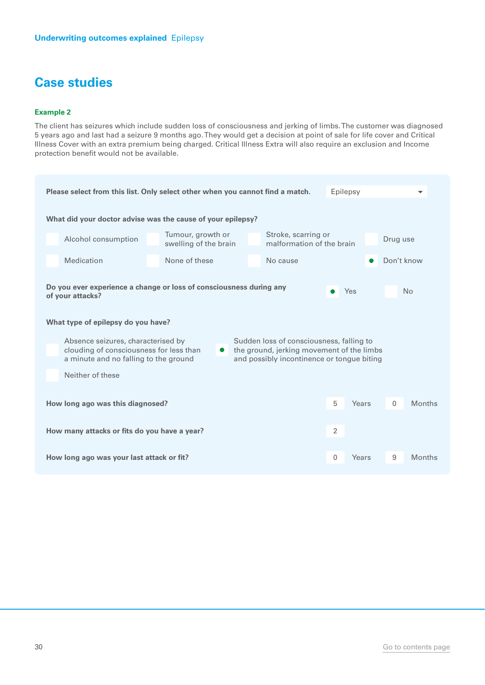#### **Example 2**

The client has seizures which include sudden loss of consciousness and jerking of limbs. The customer was diagnosed 5 years ago and last had a seizure 9 months ago. They would get a decision at point of sale for life cover and Critical Illness Cover with an extra premium being charged. Critical Illness Extra will also require an exclusion and Income protection benefit would not be available.

| Please select from this list. Only select other when you cannot find a match.<br>Epilepsy                              |                                            |                                                                                                                                     |              |       |            |               |
|------------------------------------------------------------------------------------------------------------------------|--------------------------------------------|-------------------------------------------------------------------------------------------------------------------------------------|--------------|-------|------------|---------------|
| What did your doctor advise was the cause of your epilepsy?                                                            |                                            |                                                                                                                                     |              |       |            |               |
| Alcohol consumption                                                                                                    | Tumour, growth or<br>swelling of the brain | Stroke, scarring or<br>malformation of the brain                                                                                    |              |       | Drug use   |               |
| Medication                                                                                                             | None of these                              | No cause                                                                                                                            |              |       | Don't know |               |
| Do you ever experience a change or loss of consciousness during any<br>of your attacks?                                |                                            |                                                                                                                                     |              | Yes   |            | <b>No</b>     |
| What type of epilepsy do you have?                                                                                     |                                            |                                                                                                                                     |              |       |            |               |
| Absence seizures, characterised by<br>clouding of consciousness for less than<br>a minute and no falling to the ground | $\bullet$                                  | Sudden loss of consciousness, falling to<br>the ground, jerking movement of the limbs<br>and possibly incontinence or tongue biting |              |       |            |               |
| Neither of these                                                                                                       |                                            |                                                                                                                                     |              |       |            |               |
| 5<br>Years<br>How long ago was this diagnosed?<br>$\mathbf{0}$                                                         |                                            |                                                                                                                                     |              |       | Months     |               |
| 2<br>How many attacks or fits do you have a year?                                                                      |                                            |                                                                                                                                     |              |       |            |               |
| How long ago was your last attack or fit?                                                                              |                                            |                                                                                                                                     | $\mathbf{0}$ | Years | 9          | <b>Months</b> |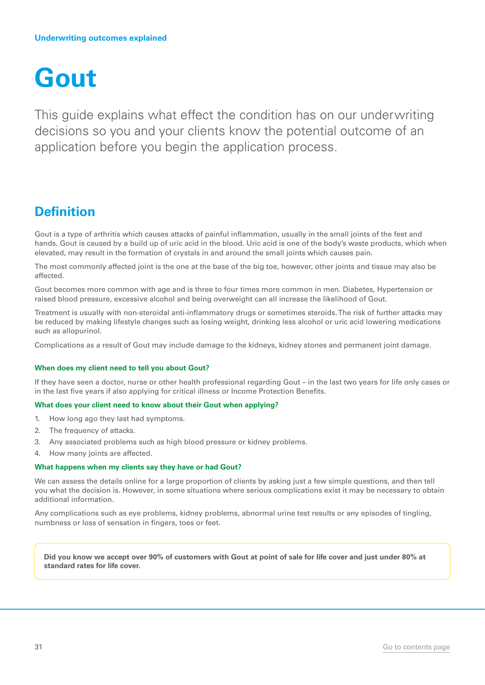## <span id="page-30-0"></span>**Gout**

This guide explains what effect the condition has on our underwriting decisions so you and your clients know the potential outcome of an application before you begin the application process.

### **Definition**

Gout is a type of arthritis which causes attacks of painful inflammation, usually in the small joints of the feet and hands. Gout is caused by a build up of uric acid in the blood. Uric acid is one of the body's waste products, which when elevated, may result in the formation of crystals in and around the small joints which causes pain.

The most commonly affected joint is the one at the base of the big toe, however, other joints and tissue may also be affected.

Gout becomes more common with age and is three to four times more common in men. Diabetes, Hypertension or raised blood pressure, excessive alcohol and being overweight can all increase the likelihood of Gout.

Treatment is usually with non-steroidal anti-inflammatory drugs or sometimes steroids. The risk of further attacks may be reduced by making lifestyle changes such as losing weight, drinking less alcohol or uric acid lowering medications such as allopurinol.

Complications as a result of Gout may include damage to the kidneys, kidney stones and permanent joint damage.

#### **When does my client need to tell you about Gout?**

If they have seen a doctor, nurse or other health professional regarding Gout – in the last two years for life only cases or in the last five years if also applying for critical illness or Income Protection Benefits.

#### **What does your client need to know about their Gout when applying?**

- 1. How long ago they last had symptoms.
- 2. The frequency of attacks.
- 3. Any associated problems such as high blood pressure or kidney problems.
- 4. How many joints are affected.

#### **What happens when my clients say they have or had Gout?**

We can assess the details online for a large proportion of clients by asking just a few simple questions, and then tell you what the decision is. However, in some situations where serious complications exist it may be necessary to obtain additional information.

Any complications such as eye problems, kidney problems, abnormal urine test results or any episodes of tingling, numbness or loss of sensation in fingers, toes or feet.

**Did you know we accept over 90% of customers with Gout at point of sale for life cover and just under 80% at standard rates for life cover.**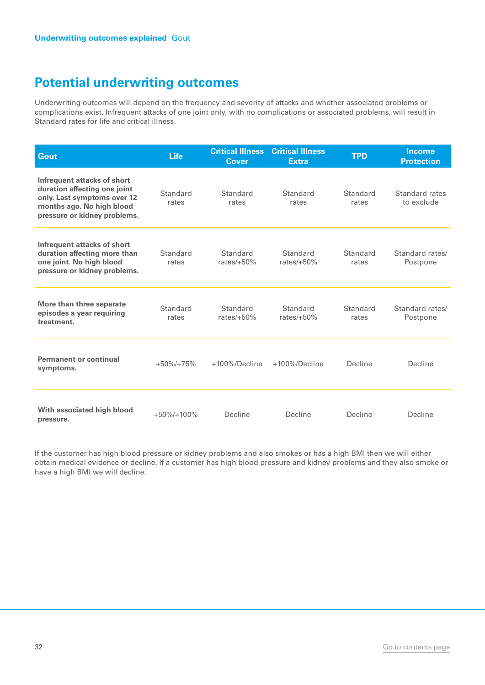Underwriting outcomes will depend on the frequency and severity of attacks and whether associated problems or complications exist. Infrequent attacks of one joint only, with no complications or associated problems, will result in Standard rates for life and critical illness.

| Gout                                                                                                                                                    | <b>Life</b>       | <b>Critical Illness</b><br><b>Cover</b> | <b>Critical Illness</b><br><b>Extra</b> | <b>TPD</b>        | Income<br><b>Protection</b>  |
|---------------------------------------------------------------------------------------------------------------------------------------------------------|-------------------|-----------------------------------------|-----------------------------------------|-------------------|------------------------------|
| Infrequent attacks of short<br>duration affecting one joint<br>only. Last symptoms over 12<br>months ago. No high blood<br>pressure or kidney problems. | Standard<br>rates | Standard<br>rates                       | Standard<br>rates                       | Standard<br>rates | Standard rates<br>to exclude |
| Infrequent attacks of short<br>duration affecting more than<br>one joint. No high blood<br>pressure or kidney problems.                                 | Standard<br>rates | Standard<br>rates/ $+50\%$              | Standard<br>rates/ $+50\%$              | Standard<br>rates | Standard rates/<br>Postpone  |
| More than three separate<br>episodes a year requiring<br>treatment.                                                                                     | Standard<br>rates | Standard<br>rates/ $+50%$               | Standard<br>rates/ $+50%$               | Standard<br>rates | Standard rates/<br>Postpone  |
| <b>Permanent or continual</b><br>symptoms.                                                                                                              | $+50\%/+75\%$     | $+100\%$ /Decline                       | +100%/Decline                           | Decline           | Decline                      |
| With associated high blood<br>pressure.                                                                                                                 | $+50\%/+100\%$    | Decline                                 | Decline                                 | Decline           | Decline                      |

If the customer has high blood pressure or kidney problems and also smokes or has a high BMI then we will either obtain medical evidence or decline. If a customer has high blood pressure and kidney problems and they also smoke or have a high BMI we will decline.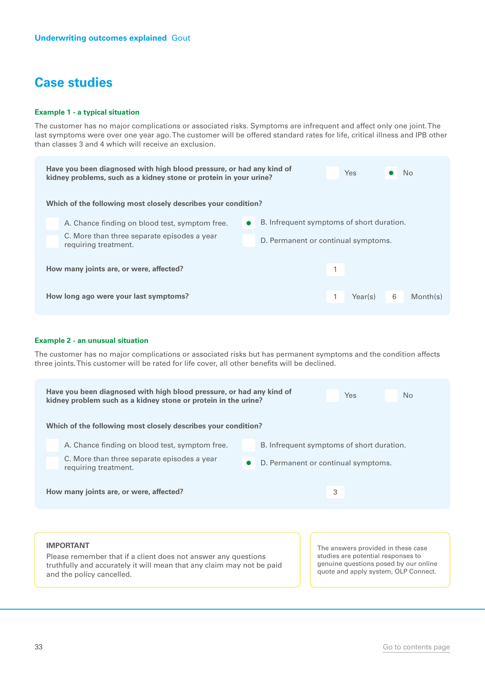#### **Example 1 - a typical situation**

The customer has no major complications or associated risks. Symptoms are infrequent and affect only one joint. The last symptoms were over one year ago. The customer will be offered standard rates for life, critical illness and IPB other than classes 3 and 4 which will receive an exclusion.

| Have you been diagnosed with high blood pressure, or had any kind of<br><b>Yes</b><br>No.<br>kidney problems, such as a kidney stone or protein in your urine?<br>Which of the following most closely describes your condition? |                                                                     |           |                                           |                                     |         |   |          |  |
|---------------------------------------------------------------------------------------------------------------------------------------------------------------------------------------------------------------------------------|---------------------------------------------------------------------|-----------|-------------------------------------------|-------------------------------------|---------|---|----------|--|
|                                                                                                                                                                                                                                 |                                                                     |           |                                           |                                     |         |   |          |  |
|                                                                                                                                                                                                                                 | A. Chance finding on blood test, symptom free.                      | $\bullet$ | B. Infrequent symptoms of short duration. |                                     |         |   |          |  |
|                                                                                                                                                                                                                                 | C. More than three separate episodes a year<br>requiring treatment. |           |                                           | D. Permanent or continual symptoms. |         |   |          |  |
|                                                                                                                                                                                                                                 |                                                                     |           |                                           |                                     |         |   |          |  |
|                                                                                                                                                                                                                                 |                                                                     |           |                                           |                                     |         |   |          |  |
| How many joints are, or were, affected?                                                                                                                                                                                         |                                                                     |           |                                           | 1                                   |         |   |          |  |
|                                                                                                                                                                                                                                 |                                                                     |           |                                           |                                     |         |   |          |  |
| How long ago were your last symptoms?                                                                                                                                                                                           |                                                                     |           |                                           |                                     | Year(s) | 6 | Month(s) |  |
|                                                                                                                                                                                                                                 |                                                                     |           |                                           |                                     |         |   |          |  |

#### **Example 2 - an unusual situation**

The customer has no major complications or associated risks but has permanent symptoms and the condition affects three joints. This customer will be rated for life cover, all other benefits will be declined.

| Have you been diagnosed with high blood pressure, or had any kind of<br>kidney problem such as a kidney stone or protein in the urine?<br>Which of the following most closely describes your condition? | N <sub>o</sub><br>Yes                                                                                                                                     |
|---------------------------------------------------------------------------------------------------------------------------------------------------------------------------------------------------------|-----------------------------------------------------------------------------------------------------------------------------------------------------------|
| A. Chance finding on blood test, symptom free.<br>C. More than three separate episodes a year<br>requiring treatment.                                                                                   | B. Infrequent symptoms of short duration.<br>D. Permanent or continual symptoms.                                                                          |
| How many joints are, or were, affected?                                                                                                                                                                 | 3                                                                                                                                                         |
| <b>IMPORTANT</b><br>Please remember that if a client does not answer any questions<br>truthfully and accurately it will mean that any claim may not be paid<br>and the policy cancelled.                | The answers provided in these case<br>studies are potential responses to<br>genuine questions posed by our online<br>quote and apply system, OLP Connect. |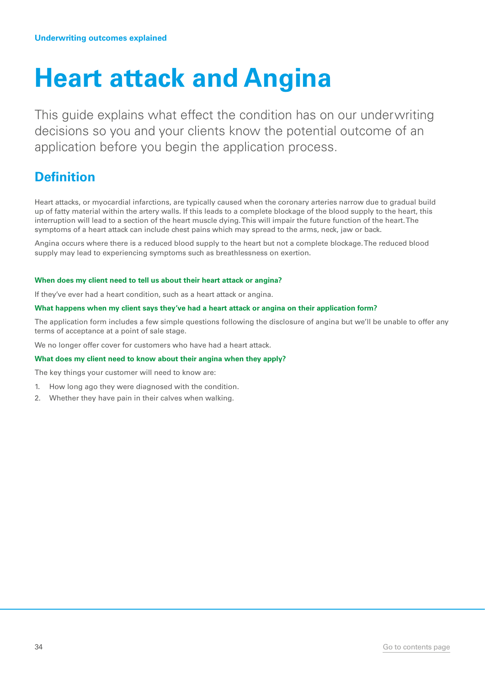## <span id="page-33-0"></span>**Heart attack and Angina**

This guide explains what effect the condition has on our underwriting decisions so you and your clients know the potential outcome of an application before you begin the application process.

## **Definition**

Heart attacks, or myocardial infarctions, are typically caused when the coronary arteries narrow due to gradual build up of fatty material within the artery walls. If this leads to a complete blockage of the blood supply to the heart, this interruption will lead to a section of the heart muscle dying. This will impair the future function of the heart. The symptoms of a heart attack can include chest pains which may spread to the arms, neck, jaw or back.

Angina occurs where there is a reduced blood supply to the heart but not a complete blockage. The reduced blood supply may lead to experiencing symptoms such as breathlessness on exertion.

#### **When does my client need to tell us about their heart attack or angina?**

If they've ever had a heart condition, such as a heart attack or angina.

#### **What happens when my client says they've had a heart attack or angina on their application form?**

The application form includes a few simple questions following the disclosure of angina but we'll be unable to offer any terms of acceptance at a point of sale stage.

We no longer offer cover for customers who have had a heart attack.

#### **What does my client need to know about their angina when they apply?**

The key things your customer will need to know are:

- 1. How long ago they were diagnosed with the condition.
- 2. Whether they have pain in their calves when walking.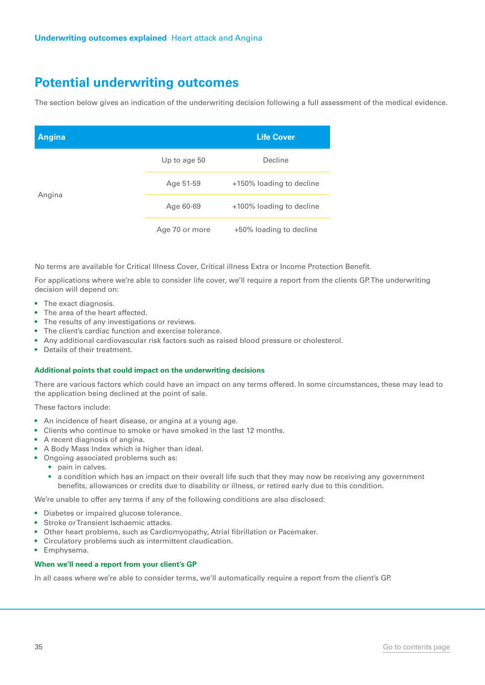The section below gives an indication of the underwriting decision following a full assessment of the medical evidence.

| <b>Angina</b> |                | <b>Life Cover</b>        |
|---------------|----------------|--------------------------|
|               | Up to age 50   | Decline                  |
| Angina        | Age 51-59      | +150% loading to decline |
|               | Age 60-69      | +100% loading to decline |
|               | Age 70 or more | +50% loading to decline  |

No terms are available for Critical Illness Cover, Critical illness Extra or Income Protection Benefit.

For applications where we're able to consider life cover, we'll require a report from the clients GP. The underwriting decision will depend on:

- The exact diagnosis.
- The area of the heart affected.
- The results of any investigations or reviews.
- The client's cardiac function and exercise tolerance.
- Any additional cardiovascular risk factors such as raised blood pressure or cholesterol.
- Details of their treatment.

#### **Additional points that could impact on the underwriting decisions**

There are various factors which could have an impact on any terms offered. In some circumstances, these may lead to the application being declined at the point of sale.

These factors include:

- An incidence of heart disease, or angina at a young age.
- Clients who continue to smoke or have smoked in the last 12 months.
- A recent diagnosis of angina.
- A Body Mass Index which is higher than ideal.
- Ongoing associated problems such as:
	- pain in calves.
	- a condition which has an impact on their overall life such that they may now be receiving any government benefits, allowances or credits due to disability or illness, or retired early due to this condition.

We're unable to offer any terms if any of the following conditions are also disclosed:

- Diabetes or impaired glucose tolerance.
- Stroke or Transient Ischaemic attacks.
- Other heart problems, such as Cardiomyopathy, Atrial fibrillation or Pacemaker.
- Circulatory problems such as intermittent claudication.
- Emphysema.

#### **When we'll need a report from your client's GP**

In all cases where we're able to consider terms, we'll automatically require a report from the client's GP.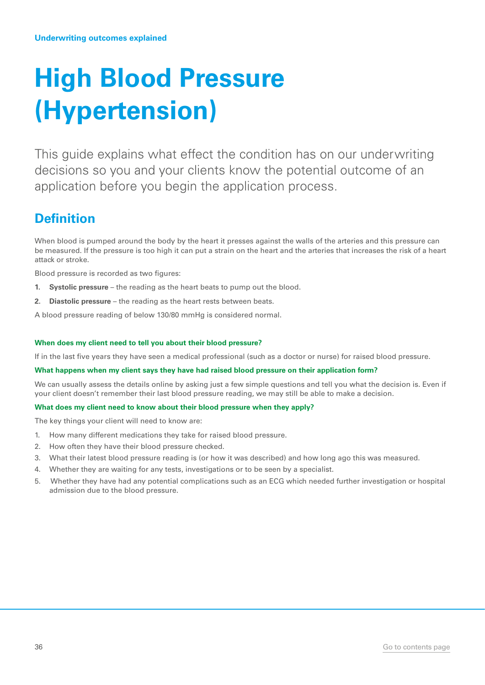## <span id="page-35-0"></span>**High Blood Pressure (Hypertension)**

This guide explains what effect the condition has on our underwriting decisions so you and your clients know the potential outcome of an application before you begin the application process.

## **Definition**

When blood is pumped around the body by the heart it presses against the walls of the arteries and this pressure can be measured. If the pressure is too high it can put a strain on the heart and the arteries that increases the risk of a heart attack or stroke.

Blood pressure is recorded as two figures:

- **1. Systolic pressure** the reading as the heart beats to pump out the blood.
- **2. Diastolic pressure** the reading as the heart rests between beats.

A blood pressure reading of below 130/80 mmHg is considered normal.

#### **When does my client need to tell you about their blood pressure?**

If in the last five years they have seen a medical professional (such as a doctor or nurse) for raised blood pressure.

#### **What happens when my client says they have had raised blood pressure on their application form?**

We can usually assess the details online by asking just a few simple questions and tell you what the decision is. Even if your client doesn't remember their last blood pressure reading, we may still be able to make a decision.

#### **What does my client need to know about their blood pressure when they apply?**

The key things your client will need to know are:

- 1. How many different medications they take for raised blood pressure.
- 2. How often they have their blood pressure checked.
- 3. What their latest blood pressure reading is (or how it was described) and how long ago this was measured.
- 4. Whether they are waiting for any tests, investigations or to be seen by a specialist.
- 5. Whether they have had any potential complications such as an ECG which needed further investigation or hospital admission due to the blood pressure.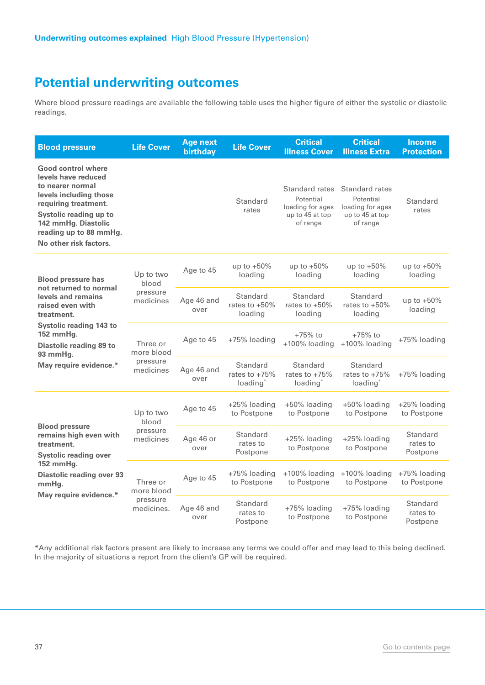Where blood pressure readings are available the following table uses the higher figure of either the systolic or diastolic readings.

| <b>Blood pressure</b>                                                                                                                                                                                                | <b>Life Cover</b>                                | <b>Age next</b><br>birthday | <b>Life Cover</b>                                   | <b>Critical</b><br><b>Illness Cover</b>                                        | <b>Critical</b><br><b>Illness Extra</b>                                        | <b>Income</b><br><b>Protection</b> |
|----------------------------------------------------------------------------------------------------------------------------------------------------------------------------------------------------------------------|--------------------------------------------------|-----------------------------|-----------------------------------------------------|--------------------------------------------------------------------------------|--------------------------------------------------------------------------------|------------------------------------|
| Good control where<br>levels have reduced<br>to nearer normal<br>levels including those<br>requiring treatment.<br>Systolic reading up to<br>142 mmHg. Diastolic<br>reading up to 88 mmHg.<br>No other risk factors. |                                                  |                             | Standard<br>rates                                   | Standard rates<br>Potential<br>loading for ages<br>up to 45 at top<br>of range | Standard rates<br>Potential<br>loading for ages<br>up to 45 at top<br>of range | Standard<br>rates                  |
| <b>Blood pressure has</b><br>not returned to normal                                                                                                                                                                  | Up to two<br>blood                               | Age to 45                   | up to $+50\%$<br>loading                            | up to $+50\%$<br>loading                                                       | up to $+50\%$<br>loading                                                       | up to $+50\%$<br>loading           |
| levels and remains<br>raised even with<br>treatment.                                                                                                                                                                 | pressure<br>medicines                            | Age 46 and<br>over          | Standard<br>rates to $+50\%$<br>loading             | Standard<br>rates to $+50\%$<br>loading                                        | Standard<br>rates to $+50\%$<br>loading                                        | up to $+50\%$<br>loading           |
| <b>Systolic reading 143 to</b><br>152 mmHg.<br>Diastolic reading 89 to<br>93 mmHg.                                                                                                                                   | Three or<br>more blood<br>pressure<br>medicines  | Age to 45                   | +75% loading                                        | $+75%$ to<br>+100% loading                                                     | $+75%$ to<br>+100% loading                                                     | +75% loading                       |
| May require evidence.*                                                                                                                                                                                               |                                                  | Age 46 and<br>over          | Standard<br>rates to $+75%$<br>loading <sup>*</sup> | Standard<br>rates to $+75%$<br>loading*                                        | Standard<br>rates to $+75%$<br>loading*                                        | +75% loading                       |
|                                                                                                                                                                                                                      | Up to two<br>blood                               | Age to 45                   | +25% loading<br>to Postpone                         | +50% loading<br>to Postpone                                                    | +50% loading<br>to Postpone                                                    | +25% loading<br>to Postpone        |
| <b>Blood pressure</b><br>remains high even with<br>treatment.<br><b>Systolic reading over</b>                                                                                                                        | pressure<br>medicines                            | Age 46 or<br>over           | Standard<br>rates to<br>Postpone                    | +25% loading<br>to Postpone                                                    | +25% loading<br>to Postpone                                                    | Standard<br>rates to<br>Postpone   |
| 152 mmHg.<br><b>Diastolic reading over 93</b><br>mmHg.<br>May require evidence.*                                                                                                                                     | Three or<br>more blood<br>pressure<br>medicines. | Age to 45                   | +75% loading<br>to Postpone                         | +100% loading<br>to Postpone                                                   | +100% loading<br>to Postpone                                                   | +75% loading<br>to Postpone        |
|                                                                                                                                                                                                                      |                                                  | Age 46 and<br>over          | Standard<br>rates to<br>Postpone                    | +75% loading<br>to Postpone                                                    | +75% loading<br>to Postpone                                                    | Standard<br>rates to<br>Postpone   |

\*Any additional risk factors present are likely to increase any terms we could offer and may lead to this being declined. In the majority of situations a report from the client's GP will be required.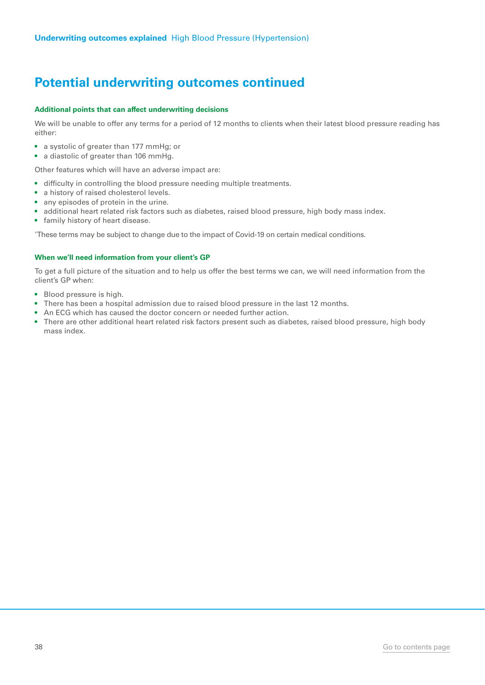### **Potential underwriting outcomes continued**

#### **Additional points that can affect underwriting decisions**

We will be unable to offer any terms for a period of 12 months to clients when their latest blood pressure reading has either:

- a systolic of greater than 177 mmHg; or
- a diastolic of greater than 106 mmHg.

Other features which will have an adverse impact are:

- difficulty in controlling the blood pressure needing multiple treatments.
- a history of raised cholesterol levels.
- any episodes of protein in the urine.
- additional heart related risk factors such as diabetes, raised blood pressure, high body mass index.
- family history of heart disease.

\* These terms may be subject to change due to the impact of Covid-19 on certain medical conditions.

#### **When we'll need information from your client's GP**

To get a full picture of the situation and to help us offer the best terms we can, we will need information from the client's GP when:

- Blood pressure is high.
- There has been a hospital admission due to raised blood pressure in the last 12 months.
- An ECG which has caused the doctor concern or needed further action.
- There are other additional heart related risk factors present such as diabetes, raised blood pressure, high body mass index.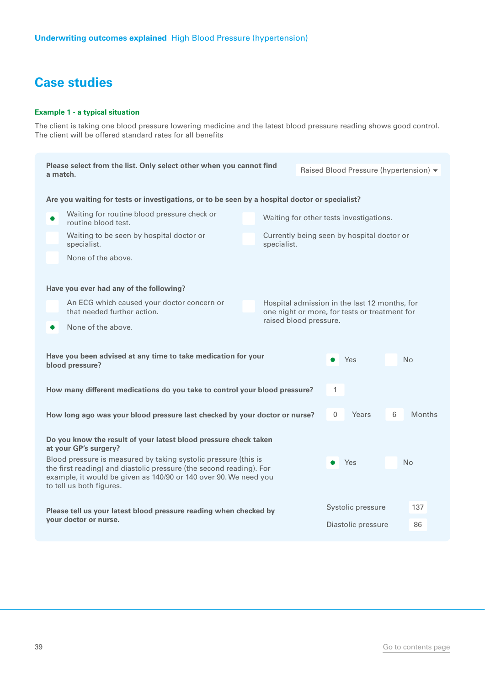#### **Example 1 - a typical situation**

The client is taking one blood pressure lowering medicine and the latest blood pressure reading shows good control. The client will be offered standard rates for all benefits

| Please select from the list. Only select other when you cannot find<br>a match.                                                                                                                                                        |                                                                                                                      |                        | Raised Blood Pressure (hypertension) v |                                                                                                |                   |                |               |  |  |
|----------------------------------------------------------------------------------------------------------------------------------------------------------------------------------------------------------------------------------------|----------------------------------------------------------------------------------------------------------------------|------------------------|----------------------------------------|------------------------------------------------------------------------------------------------|-------------------|----------------|---------------|--|--|
|                                                                                                                                                                                                                                        | Are you waiting for tests or investigations, or to be seen by a hospital doctor or specialist?                       |                        |                                        |                                                                                                |                   |                |               |  |  |
|                                                                                                                                                                                                                                        | Waiting for routine blood pressure check or<br>routine blood test.                                                   |                        |                                        | Waiting for other tests investigations.                                                        |                   |                |               |  |  |
|                                                                                                                                                                                                                                        | Waiting to be seen by hospital doctor or<br>Currently being seen by hospital doctor or<br>specialist.<br>specialist. |                        |                                        |                                                                                                |                   |                |               |  |  |
|                                                                                                                                                                                                                                        | None of the above.                                                                                                   |                        |                                        |                                                                                                |                   |                |               |  |  |
|                                                                                                                                                                                                                                        | Have you ever had any of the following?                                                                              |                        |                                        |                                                                                                |                   |                |               |  |  |
|                                                                                                                                                                                                                                        | An ECG which caused your doctor concern or<br>that needed further action.                                            |                        |                                        | Hospital admission in the last 12 months, for<br>one night or more, for tests or treatment for |                   |                |               |  |  |
| $\bullet$                                                                                                                                                                                                                              | None of the above.                                                                                                   | raised blood pressure. |                                        |                                                                                                |                   |                |               |  |  |
| Have you been advised at any time to take medication for your<br>blood pressure?                                                                                                                                                       |                                                                                                                      |                        |                                        | Yes                                                                                            |                   | <b>No</b>      |               |  |  |
|                                                                                                                                                                                                                                        | How many different medications do you take to control your blood pressure?                                           |                        |                                        | 1                                                                                              |                   |                |               |  |  |
|                                                                                                                                                                                                                                        | How long ago was your blood pressure last checked by your doctor or nurse?                                           |                        |                                        | $\mathbf{0}$                                                                                   | Years             | 6              | <b>Months</b> |  |  |
| Do you know the result of your latest blood pressure check taken<br>at your GP's surgery?                                                                                                                                              |                                                                                                                      |                        |                                        |                                                                                                |                   |                |               |  |  |
| Blood pressure is measured by taking systolic pressure (this is<br>the first reading) and diastolic pressure (the second reading). For<br>example, it would be given as 140/90 or 140 over 90. We need you<br>to tell us both figures. |                                                                                                                      |                        |                                        | Yes                                                                                            |                   | N <sub>o</sub> |               |  |  |
|                                                                                                                                                                                                                                        | Please tell us your latest blood pressure reading when checked by                                                    |                        |                                        |                                                                                                | Systolic pressure |                | 137           |  |  |
|                                                                                                                                                                                                                                        | your doctor or nurse.                                                                                                |                        |                                        | Diastolic pressure                                                                             |                   |                | 86            |  |  |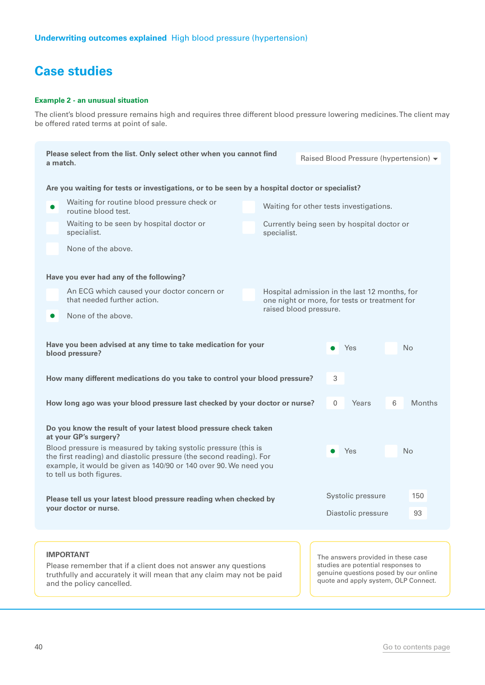#### **Example 2 - an unusual situation**

The client's blood pressure remains high and requires three different blood pressure lowering medicines. The client may be offered rated terms at point of sale.

|                       | Please select from the list. Only select other when you cannot find<br>a match.                                                                                                                                                                     |  |                                                           | Raised Blood Pressure (hypertension) v |                    |                                                                                                                                                           |    |               |
|-----------------------|-----------------------------------------------------------------------------------------------------------------------------------------------------------------------------------------------------------------------------------------------------|--|-----------------------------------------------------------|----------------------------------------|--------------------|-----------------------------------------------------------------------------------------------------------------------------------------------------------|----|---------------|
|                       |                                                                                                                                                                                                                                                     |  |                                                           |                                        |                    |                                                                                                                                                           |    |               |
|                       | Are you waiting for tests or investigations, or to be seen by a hospital doctor or specialist?                                                                                                                                                      |  |                                                           |                                        |                    |                                                                                                                                                           |    |               |
| O                     | Waiting for routine blood pressure check or<br>Waiting for other tests investigations.<br>routine blood test.                                                                                                                                       |  |                                                           |                                        |                    |                                                                                                                                                           |    |               |
|                       | Waiting to be seen by hospital doctor or<br>specialist.                                                                                                                                                                                             |  | Currently being seen by hospital doctor or<br>specialist. |                                        |                    |                                                                                                                                                           |    |               |
|                       | None of the above.                                                                                                                                                                                                                                  |  |                                                           |                                        |                    |                                                                                                                                                           |    |               |
|                       | Have you ever had any of the following?                                                                                                                                                                                                             |  |                                                           |                                        |                    |                                                                                                                                                           |    |               |
|                       | An ECG which caused your doctor concern or<br>that needed further action.                                                                                                                                                                           |  |                                                           |                                        |                    | Hospital admission in the last 12 months, for<br>one night or more, for tests or treatment for                                                            |    |               |
| $\bullet$             | None of the above.                                                                                                                                                                                                                                  |  | raised blood pressure.                                    |                                        |                    |                                                                                                                                                           |    |               |
|                       | Have you been advised at any time to take medication for your<br>Yes<br>N <sub>o</sub><br>blood pressure?                                                                                                                                           |  |                                                           |                                        |                    |                                                                                                                                                           |    |               |
|                       | How many different medications do you take to control your blood pressure?                                                                                                                                                                          |  |                                                           |                                        | 3                  |                                                                                                                                                           |    |               |
|                       | How long ago was your blood pressure last checked by your doctor or nurse?                                                                                                                                                                          |  |                                                           |                                        | 0                  | Years                                                                                                                                                     | 6  | <b>Months</b> |
|                       | Do you know the result of your latest blood pressure check taken<br>at your GP's surgery?                                                                                                                                                           |  |                                                           |                                        |                    |                                                                                                                                                           |    |               |
|                       | Blood pressure is measured by taking systolic pressure (this is<br>Yes<br>No<br>the first reading) and diastolic pressure (the second reading). For<br>example, it would be given as 140/90 or 140 over 90. We need you<br>to tell us both figures. |  |                                                           |                                        |                    |                                                                                                                                                           |    |               |
|                       | Please tell us your latest blood pressure reading when checked by                                                                                                                                                                                   |  |                                                           |                                        |                    | Systolic pressure                                                                                                                                         |    | 150           |
| vour doctor or nurse. |                                                                                                                                                                                                                                                     |  |                                                           |                                        | Diastolic pressure |                                                                                                                                                           | 93 |               |
|                       |                                                                                                                                                                                                                                                     |  |                                                           |                                        |                    |                                                                                                                                                           |    |               |
|                       | <b>IMPORTANT</b><br>Please remember that if a client does not answer any questions<br>truthfully and accurately it will mean that any claim may not be paid<br>and the policy cancelled.                                                            |  |                                                           |                                        |                    | The answers provided in these case<br>studies are potential responses to<br>genuine questions posed by our online<br>quote and apply system, OLP Connect. |    |               |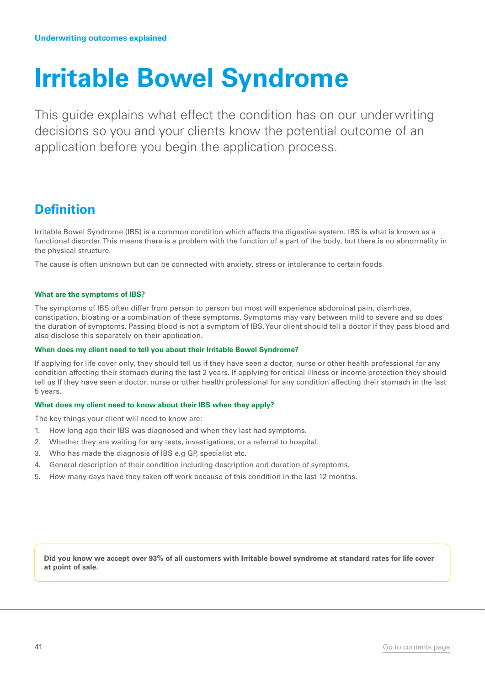## <span id="page-40-0"></span>**Irritable Bowel Syndrome**

This guide explains what effect the condition has on our underwriting decisions so you and your clients know the potential outcome of an application before you begin the application process.

### **Definition**

Irritable Bowel Syndrome (IBS) is a common condition which affects the digestive system. IBS is what is known as a functional disorder. This means there is a problem with the function of a part of the body, but there is no abnormality in the physical structure.

The cause is often unknown but can be connected with anxiety, stress or intolerance to certain foods.

#### **What are the symptoms of IBS?**

The symptoms of IBS often differ from person to person but most will experience abdominal pain, diarrhoea, constipation, bloating or a combination of these symptoms. Symptoms may vary between mild to severe and so does the duration of symptoms. Passing blood is not a symptom of IBS. Your client should tell a doctor if they pass blood and also disclose this separately on their application.

#### **When does my client need to tell you about their Irritable Bowel Syndrome?**

If applying for life cover only, they should tell us if they have seen a doctor, nurse or other health professional for any condition affecting their stomach during the last 2 years. If applying for critical illness or income protection they should tell us If they have seen a doctor, nurse or other health professional for any condition affecting their stomach in the last 5 years.

#### **What does my client need to know about their IBS when they apply?**

The key things your client will need to know are:

- 1. How long ago their IBS was diagnosed and when they last had symptoms.
- 2. Whether they are waiting for any tests, investigations, or a referral to hospital.
- 3. Who has made the diagnosis of IBS e.g GP, specialist etc.
- 4. General description of their condition including description and duration of symptoms.
- 5. How many days have they taken off work because of this condition in the last 12 months.

**Did you know we accept over 93% of all customers with Irritable bowel syndrome at standard rates for life cover at point of sale.**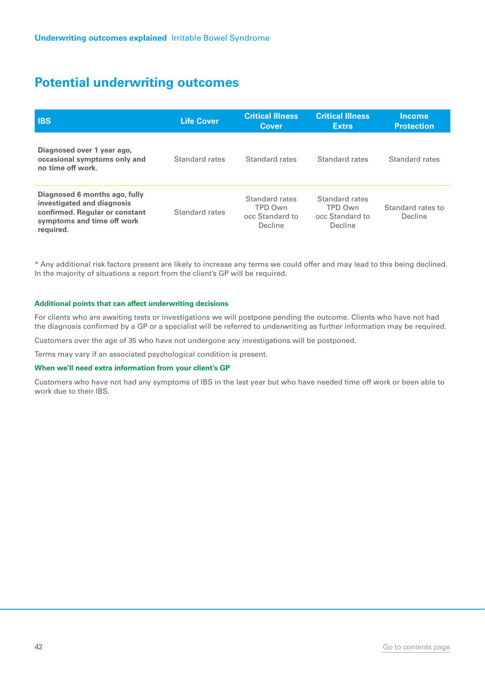| <b>IBS</b>                                                                                                                               | <b>Life Cover</b> | <b>Critical Illness</b><br>Cover                        | <b>Critical Illness</b><br><b>Extra</b>                 | <b>Income</b><br><b>Protection</b> |
|------------------------------------------------------------------------------------------------------------------------------------------|-------------------|---------------------------------------------------------|---------------------------------------------------------|------------------------------------|
| Diagnosed over 1 year ago,<br>occasional symptoms only and<br>no time off work.                                                          | Standard rates    | Standard rates                                          | Standard rates                                          | Standard rates                     |
| Diagnosed 6 months ago, fully<br>investigated and diagnosis<br>confirmed. Regular or constant<br>symptoms and time off work<br>required. | Standard rates    | Standard rates<br>TPD Own<br>occ Standard to<br>Decline | Standard rates<br>TPD Own<br>occ Standard to<br>Decline | Standard rates to<br>Decline       |

\* Any additional risk factors present are likely to increase any terms we could offer and may lead to this being declined. In the majority of situations a report from the client's GP will be required.

#### **Additional points that can affect underwriting decisions**

For clients who are awaiting tests or investigations we will postpone pending the outcome. Clients who have not had the diagnosis confirmed by a GP or a specialist will be referred to underwriting as further information may be required.

Customers over the age of 35 who have not undergone any investigations will be postponed.

Terms may vary if an associated psychological condition is present.

#### **When we'll need extra information from your client's GP**

Customers who have not had any symptoms of IBS in the last year but who have needed time off work or been able to work due to their IBS.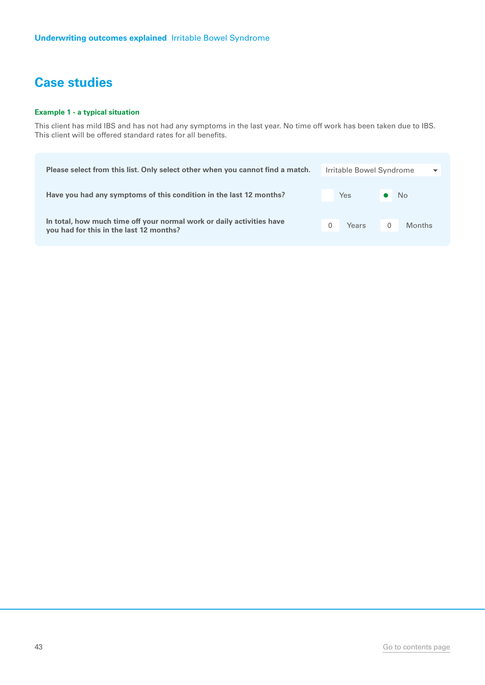#### **Example 1 - a typical situation**

This client has mild IBS and has not had any symptoms in the last year. No time off work has been taken due to IBS. This client will be offered standard rates for all benefits.

| Please select from this list. Only select other when you cannot find a match.                                    |  | Irritable Bowel Syndrome<br>$\overline{\phantom{a}}$ |   |                |
|------------------------------------------------------------------------------------------------------------------|--|------------------------------------------------------|---|----------------|
| Have you had any symptoms of this condition in the last 12 months?                                               |  | <b>Yes</b>                                           |   | N <sub>o</sub> |
| In total, how much time off your normal work or daily activities have<br>you had for this in the last 12 months? |  | Years                                                | 0 | <b>Months</b>  |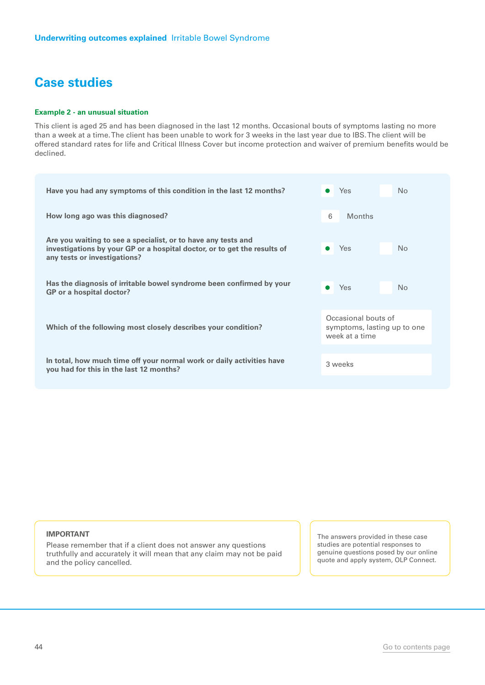#### **Example 2 - an unusual situation**

This client is aged 25 and has been diagnosed in the last 12 months. Occasional bouts of symptoms lasting no more than a week at a time. The client has been unable to work for 3 weeks in the last year due to IBS. The client will be offered standard rates for life and Critical Illness Cover but income protection and waiver of premium benefits would be declined.

| Yes<br>No                                                            |
|----------------------------------------------------------------------|
| 6<br><b>Months</b>                                                   |
| Yes<br>No                                                            |
| Yes<br>No<br>$\bullet$                                               |
| Occasional bouts of<br>symptoms, lasting up to one<br>week at a time |
| 3 weeks                                                              |
|                                                                      |

#### **IMPORTANT**

Please remember that if a client does not answer any questions truthfully and accurately it will mean that any claim may not be paid and the policy cancelled.

The answers provided in these case studies are potential responses to genuine questions posed by our online quote and apply system, OLP Connect.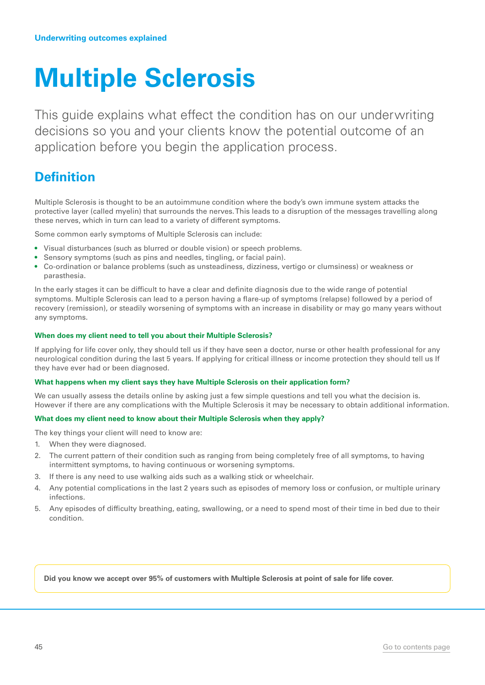## <span id="page-44-0"></span>**Multiple Sclerosis**

This guide explains what effect the condition has on our underwriting decisions so you and your clients know the potential outcome of an application before you begin the application process.

## **Definition**

Multiple Sclerosis is thought to be an autoimmune condition where the body's own immune system attacks the protective layer (called myelin) that surrounds the nerves. This leads to a disruption of the messages travelling along these nerves, which in turn can lead to a variety of different symptoms.

Some common early symptoms of Multiple Sclerosis can include:

- Visual disturbances (such as blurred or double vision) or speech problems.
- Sensory symptoms (such as pins and needles, tingling, or facial pain).
- Co-ordination or balance problems (such as unsteadiness, dizziness, vertigo or clumsiness) or weakness or parasthesia.

In the early stages it can be difficult to have a clear and definite diagnosis due to the wide range of potential symptoms. Multiple Sclerosis can lead to a person having a flare-up of symptoms (relapse) followed by a period of recovery (remission), or steadily worsening of symptoms with an increase in disability or may go many years without any symptoms.

#### **When does my client need to tell you about their Multiple Sclerosis?**

If applying for life cover only, they should tell us if they have seen a doctor, nurse or other health professional for any neurological condition during the last 5 years. If applying for critical illness or income protection they should tell us If they have ever had or been diagnosed.

#### **What happens when my client says they have Multiple Sclerosis on their application form?**

We can usually assess the details online by asking just a few simple questions and tell you what the decision is. However if there are any complications with the Multiple Sclerosis it may be necessary to obtain additional information.

#### **What does my client need to know about their Multiple Sclerosis when they apply?**

The key things your client will need to know are:

- 1. When they were diagnosed.
- 2. The current pattern of their condition such as ranging from being completely free of all symptoms, to having intermittent symptoms, to having continuous or worsening symptoms.
- 3. If there is any need to use walking aids such as a walking stick or wheelchair.
- 4. Any potential complications in the last 2 years such as episodes of memory loss or confusion, or multiple urinary infections.
- 5. Any episodes of difficulty breathing, eating, swallowing, or a need to spend most of their time in bed due to their condition.

**Did you know we accept over 95% of customers with Multiple Sclerosis at point of sale for life cover.**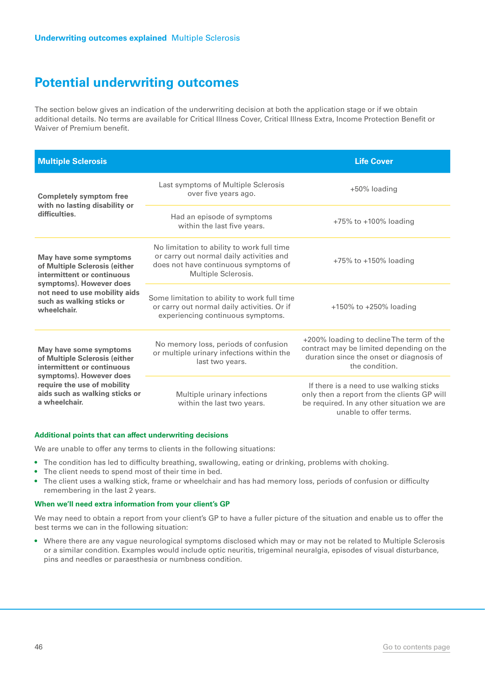The section below gives an indication of the underwriting decision at both the application stage or if we obtain additional details. No terms are available for Critical Illness Cover, Critical Illness Extra, Income Protection Benefit or Waiver of Premium benefit.

| <b>Multiple Sclerosis</b>                                                                                                                                                                                                                                                                                                                                                                                                                                                                                                                                                                                                                                                                                                                                                                                                                                                                                                                                                                                                                                                             |                              | <b>Life Cover</b>                                                                                                                                               |
|---------------------------------------------------------------------------------------------------------------------------------------------------------------------------------------------------------------------------------------------------------------------------------------------------------------------------------------------------------------------------------------------------------------------------------------------------------------------------------------------------------------------------------------------------------------------------------------------------------------------------------------------------------------------------------------------------------------------------------------------------------------------------------------------------------------------------------------------------------------------------------------------------------------------------------------------------------------------------------------------------------------------------------------------------------------------------------------|------------------------------|-----------------------------------------------------------------------------------------------------------------------------------------------------------------|
| Last symptoms of Multiple Sclerosis<br>over five years ago.<br><b>Completely symptom free</b><br>with no lasting disability or<br>difficulties.<br>Had an episode of symptoms<br>within the last five years.<br>No limitation to ability to work full time<br>or carry out normal daily activities and<br>May have some symptoms<br>does not have continuous symptoms of<br>of Multiple Sclerosis (either<br>Multiple Sclerosis.<br>intermittent or continuous<br>symptoms). However does<br>not need to use mobility aids<br>Some limitation to ability to work full time<br>such as walking sticks or<br>or carry out normal daily activities. Or if<br>wheelchair.<br>experiencing continuous symptoms.<br>No memory loss, periods of confusion<br>May have some symptoms<br>or multiple urinary infections within the<br>of Multiple Sclerosis (either<br>last two years.<br>intermittent or continuous<br>symptoms). However does<br>require the use of mobility<br>aids such as walking sticks or<br>Multiple urinary infections<br>a wheelchair.<br>within the last two years. | +50% loading                 |                                                                                                                                                                 |
|                                                                                                                                                                                                                                                                                                                                                                                                                                                                                                                                                                                                                                                                                                                                                                                                                                                                                                                                                                                                                                                                                       | $+75\%$ to $+100\%$ loading  |                                                                                                                                                                 |
|                                                                                                                                                                                                                                                                                                                                                                                                                                                                                                                                                                                                                                                                                                                                                                                                                                                                                                                                                                                                                                                                                       | $+75\%$ to $+150\%$ loading  |                                                                                                                                                                 |
|                                                                                                                                                                                                                                                                                                                                                                                                                                                                                                                                                                                                                                                                                                                                                                                                                                                                                                                                                                                                                                                                                       | $+150\%$ to $+250\%$ loading |                                                                                                                                                                 |
|                                                                                                                                                                                                                                                                                                                                                                                                                                                                                                                                                                                                                                                                                                                                                                                                                                                                                                                                                                                                                                                                                       |                              | +200% loading to decline The term of the<br>contract may be limited depending on the<br>duration since the onset or diagnosis of<br>the condition.              |
|                                                                                                                                                                                                                                                                                                                                                                                                                                                                                                                                                                                                                                                                                                                                                                                                                                                                                                                                                                                                                                                                                       |                              | If there is a need to use walking sticks<br>only then a report from the clients GP will<br>be required. In any other situation we are<br>unable to offer terms. |

#### **Additional points that can affect underwriting decisions**

We are unable to offer any terms to clients in the following situations:

- The condition has led to difficulty breathing, swallowing, eating or drinking, problems with choking.
- The client needs to spend most of their time in bed.
- The client uses a walking stick, frame or wheelchair and has had memory loss, periods of confusion or difficulty remembering in the last 2 years.

#### **When we'll need extra information from your client's GP**

We may need to obtain a report from your client's GP to have a fuller picture of the situation and enable us to offer the best terms we can in the following situation:

• Where there are any vague neurological symptoms disclosed which may or may not be related to Multiple Sclerosis or a similar condition. Examples would include optic neuritis, trigeminal neuralgia, episodes of visual disturbance, pins and needles or paraesthesia or numbness condition.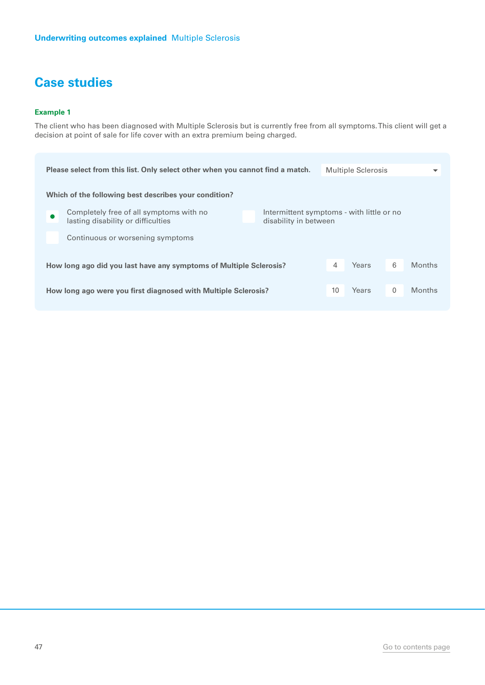#### **Example 1**

The client who has been diagnosed with Multiple Sclerosis but is currently free from all symptoms. This client will get a decision at point of sale for life cover with an extra premium being charged.

|                                                                                                                                                     | Please select from this list. Only select other when you cannot find a match. |  |    | <b>Multiple Sclerosis</b> |   | ▼             |  |  |
|-----------------------------------------------------------------------------------------------------------------------------------------------------|-------------------------------------------------------------------------------|--|----|---------------------------|---|---------------|--|--|
|                                                                                                                                                     | Which of the following best describes your condition?                         |  |    |                           |   |               |  |  |
| Completely free of all symptoms with no<br>Intermittent symptoms - with little or no<br>lasting disability or difficulties<br>disability in between |                                                                               |  |    |                           |   |               |  |  |
|                                                                                                                                                     | Continuous or worsening symptoms                                              |  |    |                           |   |               |  |  |
| How long ago did you last have any symptoms of Multiple Sclerosis?                                                                                  |                                                                               |  | 4  | Years                     | 6 | <b>Months</b> |  |  |
| How long ago were you first diagnosed with Multiple Sclerosis?                                                                                      |                                                                               |  | 10 | Years                     | 0 | <b>Months</b> |  |  |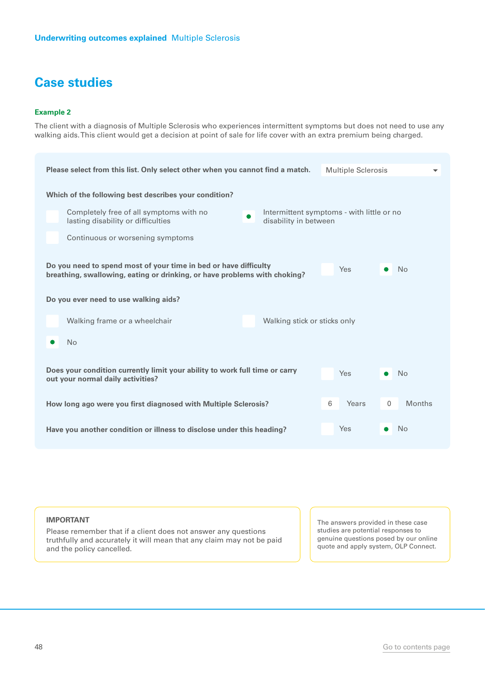#### **Example 2**

The client with a diagnosis of Multiple Sclerosis who experiences intermittent symptoms but does not need to use any walking aids. This client would get a decision at point of sale for life cover with an extra premium being charged.

| <b>Multiple Sclerosis</b><br>Please select from this list. Only select other when you cannot find a match.                                                        |  |  |  |  |  |  |
|-------------------------------------------------------------------------------------------------------------------------------------------------------------------|--|--|--|--|--|--|
| Which of the following best describes your condition?                                                                                                             |  |  |  |  |  |  |
| Completely free of all symptoms with no<br>Intermittent symptoms - with little or no<br>$\bullet$<br>lasting disability or difficulties<br>disability in between  |  |  |  |  |  |  |
| Continuous or worsening symptoms                                                                                                                                  |  |  |  |  |  |  |
| Do you need to spend most of your time in bed or have difficulty<br>Yes<br><b>No</b><br>breathing, swallowing, eating or drinking, or have problems with choking? |  |  |  |  |  |  |
| Do you ever need to use walking aids?                                                                                                                             |  |  |  |  |  |  |
| Walking frame or a wheelchair<br>Walking stick or sticks only                                                                                                     |  |  |  |  |  |  |
| <b>No</b>                                                                                                                                                         |  |  |  |  |  |  |
| Does your condition currently limit your ability to work full time or carry<br><b>Yes</b><br>No<br>out your normal daily activities?                              |  |  |  |  |  |  |
| 6<br>Years<br>$\mathbf{0}$<br><b>Months</b><br>How long ago were you first diagnosed with Multiple Sclerosis?                                                     |  |  |  |  |  |  |
| <b>Yes</b><br><b>No</b><br>Have you another condition or illness to disclose under this heading?                                                                  |  |  |  |  |  |  |

**IMPORTANT**

Please remember that if a client does not answer any questions truthfully and accurately it will mean that any claim may not be paid and the policy cancelled.

The answers provided in these case studies are potential responses to genuine questions posed by our online quote and apply system, OLP Connect.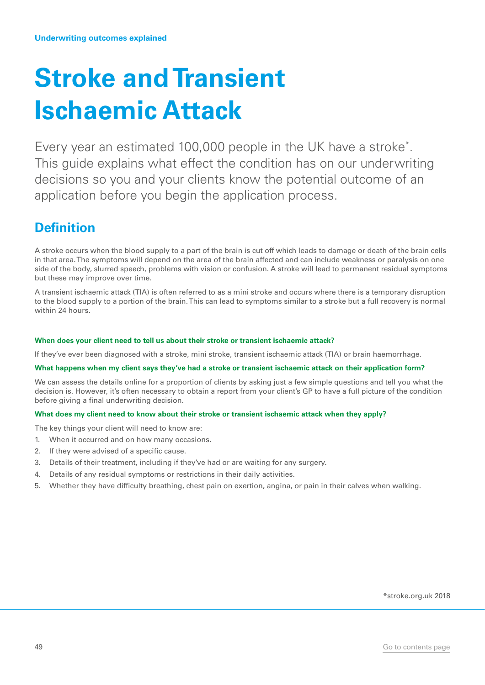## <span id="page-48-0"></span>**Stroke and Transient Ischaemic Attack**

Every year an estimated 100,000 people in the UK have a stroke\* . This guide explains what effect the condition has on our underwriting decisions so you and your clients know the potential outcome of an application before you begin the application process.

## **Definition**

A stroke occurs when the blood supply to a part of the brain is cut off which leads to damage or death of the brain cells in that area. The symptoms will depend on the area of the brain affected and can include weakness or paralysis on one side of the body, slurred speech, problems with vision or confusion. A stroke will lead to permanent residual symptoms but these may improve over time.

A transient ischaemic attack (TIA) is often referred to as a mini stroke and occurs where there is a temporary disruption to the blood supply to a portion of the brain. This can lead to symptoms similar to a stroke but a full recovery is normal within 24 hours.

#### **When does your client need to tell us about their stroke or transient ischaemic attack?**

If they've ever been diagnosed with a stroke, mini stroke, transient ischaemic attack (TIA) or brain haemorrhage.

#### **What happens when my client says they've had a stroke or transient ischaemic attack on their application form?**

We can assess the details online for a proportion of clients by asking just a few simple questions and tell you what the decision is. However, it's often necessary to obtain a report from your client's GP to have a full picture of the condition before giving a final underwriting decision.

#### **What does my client need to know about their stroke or transient ischaemic attack when they apply?**

The key things your client will need to know are:

- 1. When it occurred and on how many occasions.
- 2. If they were advised of a specific cause.
- 3. Details of their treatment, including if they've had or are waiting for any surgery.
- 4. Details of any residual symptoms or restrictions in their daily activities.
- 5. Whether they have difficulty breathing, chest pain on exertion, angina, or pain in their calves when walking.

\*stroke.org.uk 2018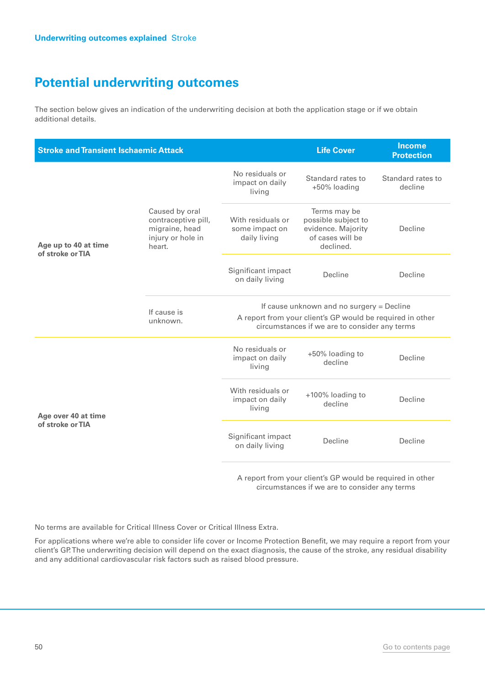The section below gives an indication of the underwriting decision at both the application stage or if we obtain additional details.

| <b>Stroke and Transient Ischaemic Attack</b> |                                                                                        |                                                     | <b>Life Cover</b>                                                                                                                                       | <b>Income</b><br><b>Protection</b> |  |  |
|----------------------------------------------|----------------------------------------------------------------------------------------|-----------------------------------------------------|---------------------------------------------------------------------------------------------------------------------------------------------------------|------------------------------------|--|--|
|                                              |                                                                                        | No residuals or<br>impact on daily<br>living        | Standard rates to<br>+50% loading                                                                                                                       | Standard rates to<br>decline       |  |  |
| Age up to 40 at time<br>of stroke or TIA     | Caused by oral<br>contraceptive pill,<br>migraine, head<br>injury or hole in<br>heart. | With residuals or<br>some impact on<br>daily living | Terms may be<br>possible subject to<br>evidence. Majority<br>of cases will be<br>declined.                                                              | Decline                            |  |  |
|                                              |                                                                                        | Significant impact<br>on daily living               | Decline                                                                                                                                                 | Decline                            |  |  |
|                                              | If cause is<br>unknown.                                                                |                                                     | If cause unknown and no surgery = Decline<br>A report from your client's GP would be required in other<br>circumstances if we are to consider any terms |                                    |  |  |
|                                              |                                                                                        | No residuals or<br>impact on daily<br>living        | +50% loading to<br>decline                                                                                                                              | Decline                            |  |  |
| Age over 40 at time                          |                                                                                        | With residuals or<br>impact on daily<br>living      | +100% loading to<br>decline                                                                                                                             | Decline                            |  |  |
| of stroke or TIA                             |                                                                                        | Significant impact<br>on daily living               | Decline                                                                                                                                                 | Decline                            |  |  |

A report from your client's GP would be required in other circumstances if we are to consider any terms

No terms are available for Critical Illness Cover or Critical Illness Extra.

For applications where we're able to consider life cover or Income Protection Benefit, we may require a report from your client's GP. The underwriting decision will depend on the exact diagnosis, the cause of the stroke, any residual disability and any additional cardiovascular risk factors such as raised blood pressure.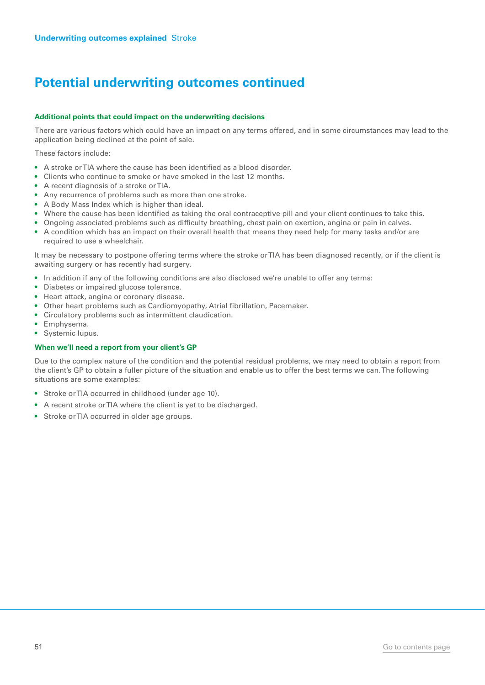## **Potential underwriting outcomes continued**

#### **Additional points that could impact on the underwriting decisions**

There are various factors which could have an impact on any terms offered, and in some circumstances may lead to the application being declined at the point of sale.

These factors include:

- A stroke or TIA where the cause has been identified as a blood disorder.
- Clients who continue to smoke or have smoked in the last 12 months.
- A recent diagnosis of a stroke or TIA.
- Any recurrence of problems such as more than one stroke.
- A Body Mass Index which is higher than ideal.
- Where the cause has been identified as taking the oral contraceptive pill and your client continues to take this.
- Ongoing associated problems such as difficulty breathing, chest pain on exertion, angina or pain in calves.
- A condition which has an impact on their overall health that means they need help for many tasks and/or are required to use a wheelchair.

It may be necessary to postpone offering terms where the stroke or TIA has been diagnosed recently, or if the client is awaiting surgery or has recently had surgery.

- In addition if any of the following conditions are also disclosed we're unable to offer any terms:
- Diabetes or impaired glucose tolerance.
- Heart attack, angina or coronary disease.
- Other heart problems such as Cardiomyopathy, Atrial fibrillation, Pacemaker.
- Circulatory problems such as intermittent claudication.
- Emphysema.
- Systemic lupus.

#### **When we'll need a report from your client's GP**

Due to the complex nature of the condition and the potential residual problems, we may need to obtain a report from the client's GP to obtain a fuller picture of the situation and enable us to offer the best terms we can. The following situations are some examples:

- Stroke or TIA occurred in childhood (under age 10).
- A recent stroke or TIA where the client is yet to be discharged.
- Stroke or TIA occurred in older age groups.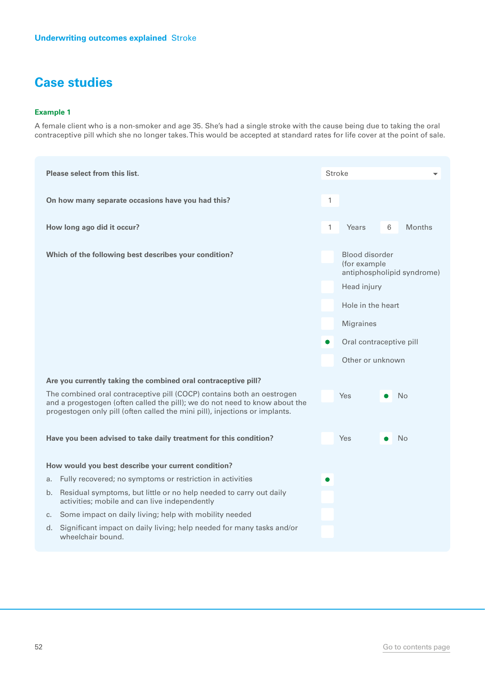#### **Example 1**

A female client who is a non-smoker and age 35. She's had a single stroke with the cause being due to taking the oral contraceptive pill which she no longer takes. This would be accepted at standard rates for life cover at the point of sale.

| Please select from this list.                                                                                                                                                                                                        | <b>Stroke</b> |                                |   |                            |
|--------------------------------------------------------------------------------------------------------------------------------------------------------------------------------------------------------------------------------------|---------------|--------------------------------|---|----------------------------|
| On how many separate occasions have you had this?                                                                                                                                                                                    | 1             |                                |   |                            |
| How long ago did it occur?                                                                                                                                                                                                           | 1             | Years                          | 6 | <b>Months</b>              |
| Which of the following best describes your condition?                                                                                                                                                                                |               | Blood disorder<br>(for example |   | antiphospholipid syndrome) |
|                                                                                                                                                                                                                                      |               | Head injury                    |   |                            |
|                                                                                                                                                                                                                                      |               | Hole in the heart              |   |                            |
|                                                                                                                                                                                                                                      |               | <b>Migraines</b>               |   |                            |
|                                                                                                                                                                                                                                      |               | Oral contraceptive pill        |   |                            |
|                                                                                                                                                                                                                                      |               | Other or unknown               |   |                            |
| Are you currently taking the combined oral contraceptive pill?                                                                                                                                                                       |               |                                |   |                            |
| The combined oral contraceptive pill (COCP) contains both an oestrogen<br>and a progestogen (often called the pill); we do not need to know about the<br>progestogen only pill (often called the mini pill), injections or implants. |               | <b>Yes</b>                     |   | <b>No</b>                  |
| Have you been advised to take daily treatment for this condition?                                                                                                                                                                    |               | Yes                            |   | N <sub>o</sub>             |
| How would you best describe your current condition?                                                                                                                                                                                  |               |                                |   |                            |
| Fully recovered; no symptoms or restriction in activities<br>a.                                                                                                                                                                      |               |                                |   |                            |
| Residual symptoms, but little or no help needed to carry out daily<br>b.<br>activities; mobile and can live independently                                                                                                            |               |                                |   |                            |
| c. Some impact on daily living; help with mobility needed                                                                                                                                                                            |               |                                |   |                            |
| d. Significant impact on daily living; help needed for many tasks and/or<br>wheelchair bound.                                                                                                                                        |               |                                |   |                            |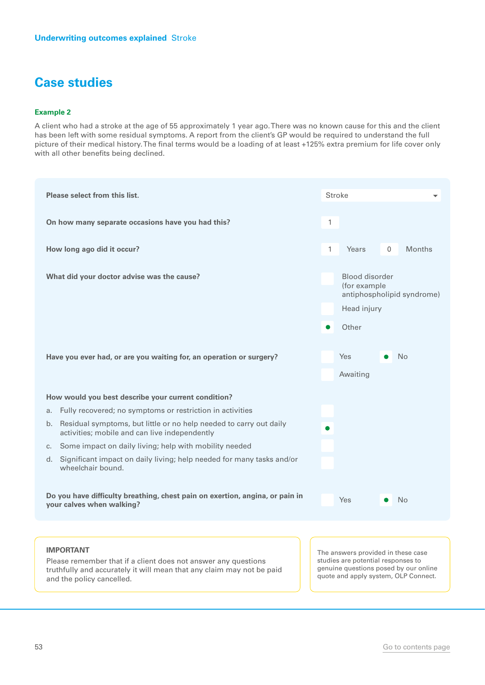#### **Example 2**

A client who had a stroke at the age of 55 approximately 1 year ago. There was no known cause for this and the client has been left with some residual symptoms. A report from the client's GP would be required to understand the full picture of their medical history. The final terms would be a loading of at least +125% extra premium for life cover only with all other benefits being declined.

| Please select from this list.                                                                                          | <b>Stroke</b>                                                               |  |
|------------------------------------------------------------------------------------------------------------------------|-----------------------------------------------------------------------------|--|
| On how many separate occasions have you had this?                                                                      | $\mathbf{1}$                                                                |  |
| How long ago did it occur?                                                                                             | $\mathbf{1}$<br><b>Months</b><br>Years<br>$\mathbf{0}$                      |  |
| What did your doctor advise was the cause?                                                                             | Blood disorder<br>(for example<br>antiphospholipid syndrome)<br>Head injury |  |
|                                                                                                                        | Other                                                                       |  |
| Have you ever had, or are you waiting for, an operation or surgery?                                                    | <b>Yes</b><br><b>No</b><br>Awaiting                                         |  |
| How would you best describe your current condition?                                                                    |                                                                             |  |
| Fully recovered; no symptoms or restriction in activities<br>a.                                                        |                                                                             |  |
| b. Residual symptoms, but little or no help needed to carry out daily<br>activities; mobile and can live independently |                                                                             |  |
| c. Some impact on daily living; help with mobility needed                                                              |                                                                             |  |
| Significant impact on daily living; help needed for many tasks and/or<br>d.<br>wheelchair bound.                       |                                                                             |  |
| Do you have difficulty breathing, chest pain on exertion, angina, or pain in<br>your calves when walking?              | <b>Yes</b><br><b>No</b>                                                     |  |
|                                                                                                                        |                                                                             |  |

#### **IMPORTANT**

Please remember that if a client does not answer any questions truthfully and accurately it will mean that any claim may not be paid and the policy cancelled.

The answers provided in these case studies are potential responses to genuine questions posed by our online quote and apply system, OLP Connect.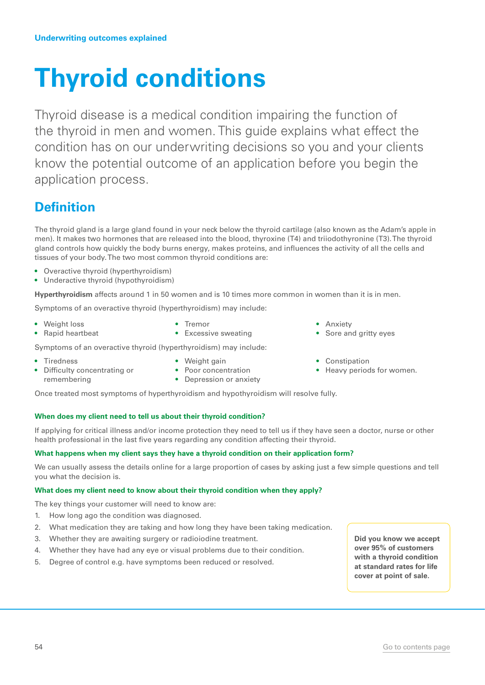## <span id="page-53-0"></span>**Thyroid conditions**

Thyroid disease is a medical condition impairing the function of the thyroid in men and women. This guide explains what effect the condition has on our underwriting decisions so you and your clients know the potential outcome of an application before you begin the application process.

## **Definition**

The thyroid gland is a large gland found in your neck below the thyroid cartilage (also known as the Adam's apple in men). It makes two hormones that are released into the blood, thyroxine (T4) and triiodothyronine (T3). The thyroid gland controls how quickly the body burns energy, makes proteins, and influences the activity of all the cells and tissues of your body. The two most common thyroid conditions are:

- Overactive thyroid (hyperthyroidism)
- Underactive thyroid (hypothyroidism)

**Hyperthyroidism** affects around 1 in 50 women and is 10 times more common in women than it is in men.

Symptoms of an overactive thyroid (hyperthyroidism) may include:

- Weight loss
- Rapid heartbeat

remembering

- Tremor
- Excessive sweating

Symptoms of an overactive thyroid (hyperthyroidism) may include:

• Tiredness

- Weight gain
- Difficulty concentrating or • Poor concentration
	- Depression or anxiety

Once treated most symptoms of hyperthyroidism and hypothyroidism will resolve fully.

#### **When does my client need to tell us about their thyroid condition?**

If applying for critical illness and/or income protection they need to tell us if they have seen a doctor, nurse or other health professional in the last five years regarding any condition affecting their thyroid.

#### **What happens when my client says they have a thyroid condition on their application form?**

We can usually assess the details online for a large proportion of cases by asking just a few simple questions and tell you what the decision is.

#### **What does my client need to know about their thyroid condition when they apply?**

The key things your customer will need to know are:

- 1. How long ago the condition was diagnosed.
- 2. What medication they are taking and how long they have been taking medication.
- 3. Whether they are awaiting surgery or radioiodine treatment.
- 4. Whether they have had any eye or visual problems due to their condition.
- 5. Degree of control e.g. have symptoms been reduced or resolved.

**Did you know we accept over 95% of customers with a thyroid condition at standard rates for life cover at point of sale.** 

• Anxiety

- Sore and gritty eyes
- **Constipation**
- Heavy periods for women.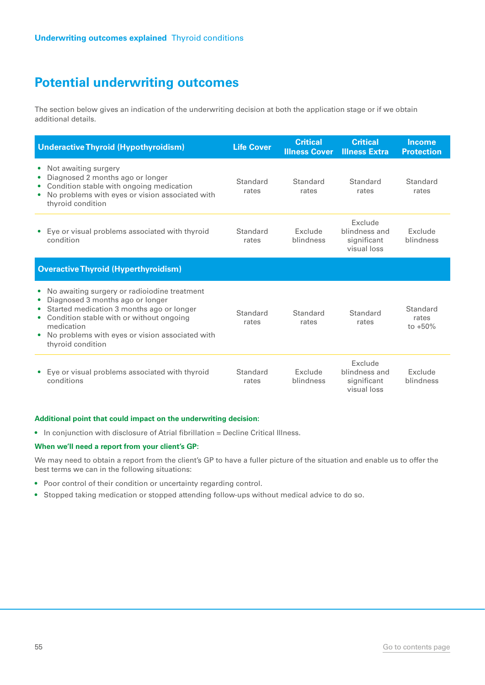The section below gives an indication of the underwriting decision at both the application stage or if we obtain additional details.

| <b>Underactive Thyroid (Hypothyroidism)</b>                                                                                                                                                                                                                                                                 | <b>Life Cover</b> | <b>Critical</b><br><b>Illness Cover</b> | <b>Critical</b><br><b>Illness Extra</b>                | <b>Income</b><br><b>Protection</b> |
|-------------------------------------------------------------------------------------------------------------------------------------------------------------------------------------------------------------------------------------------------------------------------------------------------------------|-------------------|-----------------------------------------|--------------------------------------------------------|------------------------------------|
| Not awaiting surgery<br>$\bullet$<br>Diagnosed 2 months ago or longer<br>$\bullet$<br>Condition stable with ongoing medication<br>٠<br>No problems with eyes or vision associated with<br>$\bullet$<br>thyroid condition                                                                                    | Standard<br>rates | Standard<br>rates                       | Standard<br>rates                                      | Standard<br>rates                  |
| Eye or visual problems associated with thyroid<br>$\bullet$<br>condition                                                                                                                                                                                                                                    | Standard<br>rates | Exclude<br>blindness                    | Exclude<br>blindness and<br>significant<br>visual loss | Exclude<br>blindness               |
| <b>Overactive Thyroid (Hyperthyroidism)</b>                                                                                                                                                                                                                                                                 |                   |                                         |                                                        |                                    |
| No awaiting surgery or radioiodine treatment<br>$\bullet$<br>Diagnosed 3 months ago or longer<br>$\bullet$<br>Started medication 3 months ago or longer<br>$\bullet$<br>Condition stable with or without ongoing<br>٠<br>medication<br>No problems with eyes or vision associated with<br>thyroid condition | Standard<br>rates | Standard<br>rates                       | Standard<br>rates                                      | Standard<br>rates<br>to $+50%$     |
| Eye or visual problems associated with thyroid<br>$\bullet$<br>conditions                                                                                                                                                                                                                                   | Standard<br>rates | Exclude<br>blindness                    | Exclude<br>blindness and<br>significant<br>visual loss | Exclude<br>blindness               |

#### **Additional point that could impact on the underwriting decision:**

• In conjunction with disclosure of Atrial fibrillation = Decline Critical Illness.

#### **When we'll need a report from your client's GP:**

We may need to obtain a report from the client's GP to have a fuller picture of the situation and enable us to offer the best terms we can in the following situations:

- Poor control of their condition or uncertainty regarding control.
- Stopped taking medication or stopped attending follow-ups without medical advice to do so.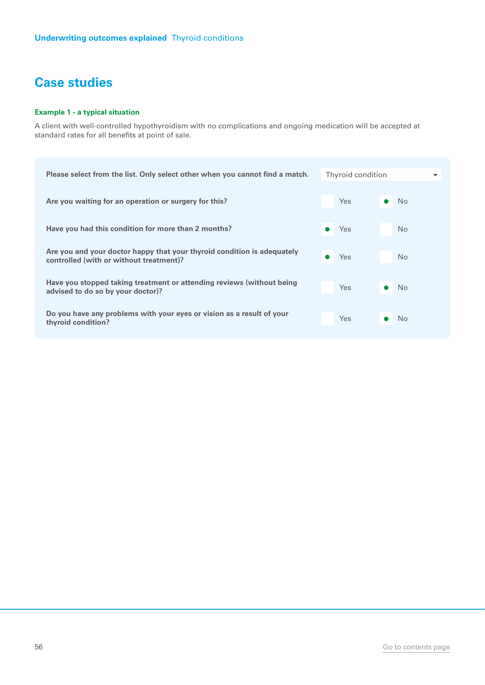#### **Example 1 - a typical situation**

A client with well-controlled hypothyroidism with no complications and ongoing medication will be accepted at standard rates for all benefits at point of sale.

| Please select from the list. Only select other when you cannot find a match.                                       | Thyroid condition |                |
|--------------------------------------------------------------------------------------------------------------------|-------------------|----------------|
| Are you waiting for an operation or surgery for this?                                                              | <b>Yes</b>        | N <sub>o</sub> |
| Have you had this condition for more than 2 months?                                                                | Yes               | <b>No</b>      |
| Are you and your doctor happy that your thyroid condition is adequately<br>controlled (with or without treatment)? | Yes               | <b>No</b>      |
| Have you stopped taking treatment or attending reviews (without being<br>advised to do so by your doctor)?         | Yes               | <b>No</b>      |
| Do you have any problems with your eyes or vision as a result of your<br>thyroid condition?                        | Yes               | No             |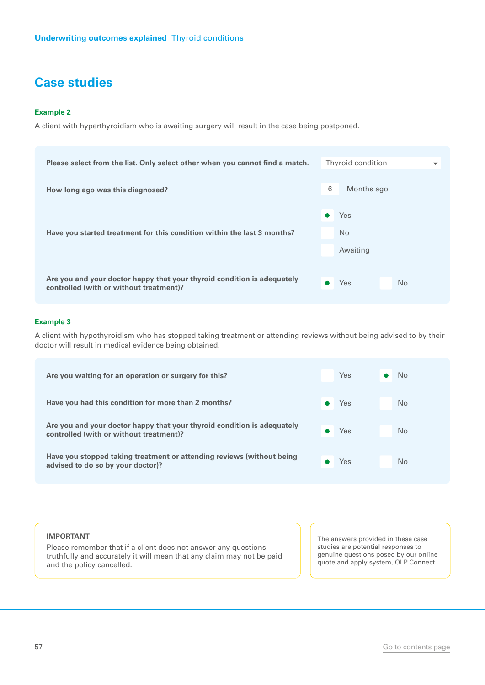#### **Example 2**

A client with hyperthyroidism who is awaiting surgery will result in the case being postponed.

| Please select from the list. Only select other when you cannot find a match. | Thyroid condition<br>$\overline{\phantom{a}}$ |
|------------------------------------------------------------------------------|-----------------------------------------------|
| How long ago was this diagnosed?                                             | 6<br>Months ago                               |
|                                                                              | Yes                                           |
| Have you started treatment for this condition within the last 3 months?      | No.<br>Awaiting                               |
| Are you and your doctor happy that your thyroid condition is adequately      |                                               |
| controlled (with or without treatment)?                                      | Yes<br><b>No</b>                              |

#### **Example 3**

A client with hypothyroidism who has stopped taking treatment or attending reviews without being advised to by their doctor will result in medical evidence being obtained.

| Are you waiting for an operation or surgery for this?                                                              | Yes | <b>No</b>      |
|--------------------------------------------------------------------------------------------------------------------|-----|----------------|
| Have you had this condition for more than 2 months?                                                                | Yes | No.            |
| Are you and your doctor happy that your thyroid condition is adequately<br>controlled (with or without treatment)? | Yes | N <sub>o</sub> |
| Have you stopped taking treatment or attending reviews (without being<br>advised to do so by your doctor)?         | Yes | N <sub>o</sub> |

#### **IMPORTANT**

Please remember that if a client does not answer any questions truthfully and accurately it will mean that any claim may not be paid and the policy cancelled.

The answers provided in these case studies are potential responses to genuine questions posed by our online quote and apply system, OLP Connect.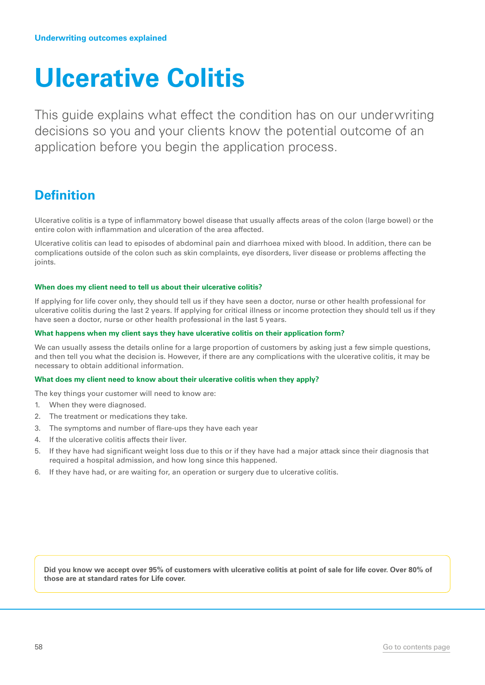## <span id="page-57-0"></span>**Ulcerative Colitis**

This guide explains what effect the condition has on our underwriting decisions so you and your clients know the potential outcome of an application before you begin the application process.

### **Definition**

Ulcerative colitis is a type of inflammatory bowel disease that usually affects areas of the colon (large bowel) or the entire colon with inflammation and ulceration of the area affected.

Ulcerative colitis can lead to episodes of abdominal pain and diarrhoea mixed with blood. In addition, there can be complications outside of the colon such as skin complaints, eye disorders, liver disease or problems affecting the joints.

#### **When does my client need to tell us about their ulcerative colitis?**

If applying for life cover only, they should tell us if they have seen a doctor, nurse or other health professional for ulcerative colitis during the last 2 years. If applying for critical illness or income protection they should tell us if they have seen a doctor, nurse or other health professional in the last 5 years.

#### **What happens when my client says they have ulcerative colitis on their application form?**

We can usually assess the details online for a large proportion of customers by asking just a few simple questions, and then tell you what the decision is. However, if there are any complications with the ulcerative colitis, it may be necessary to obtain additional information.

#### **What does my client need to know about their ulcerative colitis when they apply?**

The key things your customer will need to know are:

- 1. When they were diagnosed.
- 2. The treatment or medications they take.
- 3. The symptoms and number of flare-ups they have each year
- 4. If the ulcerative colitis affects their liver.
- 5. If they have had significant weight loss due to this or if they have had a major attack since their diagnosis that required a hospital admission, and how long since this happened.
- 6. If they have had, or are waiting for, an operation or surgery due to ulcerative colitis.

**Did you know we accept over 95% of customers with ulcerative colitis at point of sale for life cover. Over 80% of those are at standard rates for Life cover.**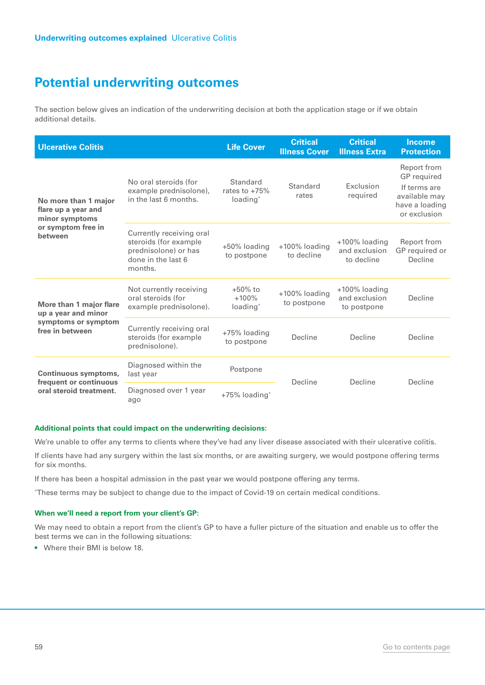The section below gives an indication of the underwriting decision at both the application stage or if we obtain additional details.

| <b>Ulcerative Colitis</b>                                                                      |                                                                                                            | <b>Life Cover</b>                                   | <b>Critical</b><br><b>Illness Cover</b> | <b>Critical</b><br><b>Illness Extra</b>          | <b>Income</b><br><b>Protection</b>                                                            |
|------------------------------------------------------------------------------------------------|------------------------------------------------------------------------------------------------------------|-----------------------------------------------------|-----------------------------------------|--------------------------------------------------|-----------------------------------------------------------------------------------------------|
| No more than 1 major<br>flare up a year and<br>minor symptoms<br>or symptom free in<br>between | No oral steroids (for<br>example prednisolone),<br>in the last 6 months.                                   | Standard<br>rates to $+75%$<br>loading <sup>*</sup> | Standard<br>rates                       | Exclusion<br>required                            | Report from<br>GP required<br>If terms are<br>available may<br>have a loading<br>or exclusion |
|                                                                                                | Currently receiving oral<br>steroids (for example<br>prednisolone) or has<br>done in the last 6<br>months. | +50% loading<br>to postpone                         | +100% loading<br>to decline             | $+100\%$ loading<br>and exclusion<br>to decline  | Report from<br>GP required or<br>Decline                                                      |
| More than 1 major flare<br>up a year and minor<br>symptoms or symptom<br>free in between       | Not currently receiving<br>oral steroids (for<br>example prednisolone).                                    | $+50\%$ to<br>$+100%$<br>loading*                   | +100% loading<br>to postpone            | $+100\%$ loading<br>and exclusion<br>to postpone | Decline                                                                                       |
|                                                                                                | Currently receiving oral<br>steroids (for example<br>prednisolone).                                        | +75% loading<br>to postpone                         | Decline                                 | Decline                                          | Decline                                                                                       |
| <b>Continuous symptoms,</b><br>frequent or continuous<br>oral steroid treatment.               | Diagnosed within the<br>last year                                                                          | Postpone                                            | Decline                                 | Decline                                          | Decline                                                                                       |
|                                                                                                | Diagnosed over 1 year<br>ago                                                                               | +75% loading*                                       |                                         |                                                  |                                                                                               |

#### **Additional points that could impact on the underwriting decisions:**

We're unable to offer any terms to clients where they've had any liver disease associated with their ulcerative colitis.

If clients have had any surgery within the last six months, or are awaiting surgery, we would postpone offering terms for six months.

If there has been a hospital admission in the past year we would postpone offering any terms.

\* These terms may be subject to change due to the impact of Covid-19 on certain medical conditions.

#### **When we'll need a report from your client's GP:**

We may need to obtain a report from the client's GP to have a fuller picture of the situation and enable us to offer the best terms we can in the following situations:

• Where their BMI is below 18.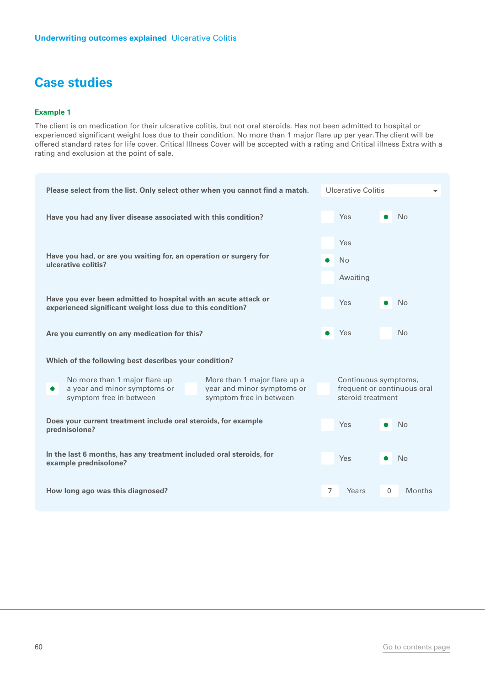#### **Example 1**

The client is on medication for their ulcerative colitis, but not oral steroids. Has not been admitted to hospital or experienced significant weight loss due to their condition. No more than 1 major flare up per year. The client will be offered standard rates for life cover. Critical Illness Cover will be accepted with a rating and Critical illness Extra with a rating and exclusion at the point of sale.

| Please select from the list. Only select other when you cannot find a match.                                                                                                                   | <b>Ulcerative Colitis</b>                                                |  |  |
|------------------------------------------------------------------------------------------------------------------------------------------------------------------------------------------------|--------------------------------------------------------------------------|--|--|
| Have you had any liver disease associated with this condition?                                                                                                                                 | Yes<br><b>No</b>                                                         |  |  |
| Have you had, or are you waiting for, an operation or surgery for<br>ulcerative colitis?                                                                                                       | Yes<br>No<br>$\bullet$<br>Awaiting                                       |  |  |
| Have you ever been admitted to hospital with an acute attack or<br>experienced significant weight loss due to this condition?                                                                  | Yes<br><b>No</b>                                                         |  |  |
| Are you currently on any medication for this?                                                                                                                                                  | <b>No</b><br><b>Yes</b>                                                  |  |  |
| Which of the following best describes your condition?                                                                                                                                          |                                                                          |  |  |
| No more than 1 major flare up<br>More than 1 major flare up a<br>a year and minor symptoms or<br>year and minor symptoms or<br>$\bullet$<br>symptom free in between<br>symptom free in between | Continuous symptoms,<br>frequent or continuous oral<br>steroid treatment |  |  |
| Does your current treatment include oral steroids, for example<br>prednisolone?                                                                                                                | Yes<br>N <sub>o</sub>                                                    |  |  |
| In the last 6 months, has any treatment included oral steroids, for<br>example prednisolone?                                                                                                   | <b>Yes</b><br><b>No</b>                                                  |  |  |
| How long ago was this diagnosed?                                                                                                                                                               | $\overline{7}$<br>$\mathbf{0}$<br>Years<br><b>Months</b>                 |  |  |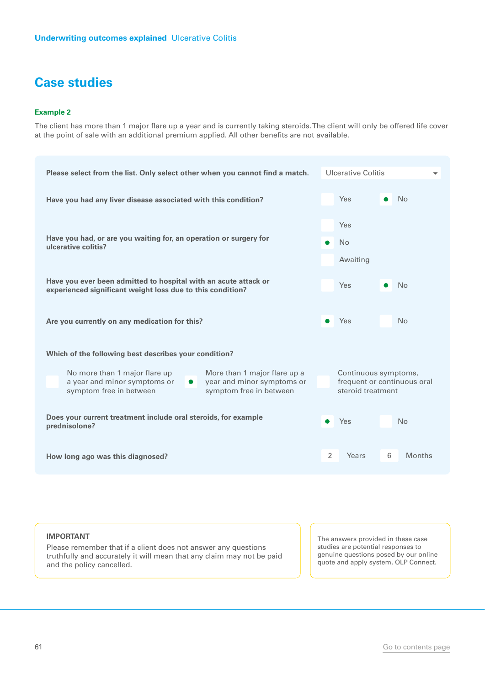#### **Example 2**

The client has more than 1 major flare up a year and is currently taking steroids. The client will only be offered life cover at the point of sale with an additional premium applied. All other benefits are not available.

| Please select from the list. Only select other when you cannot find a match.                                                                                                                   | Ulcerative Colitis                                                       |
|------------------------------------------------------------------------------------------------------------------------------------------------------------------------------------------------|--------------------------------------------------------------------------|
| Have you had any liver disease associated with this condition?                                                                                                                                 | Yes<br><b>No</b>                                                         |
| Have you had, or are you waiting for, an operation or surgery for<br>ulcerative colitis?                                                                                                       | Yes<br><b>No</b><br>Awaiting                                             |
| Have you ever been admitted to hospital with an acute attack or<br>experienced significant weight loss due to this condition?                                                                  | Yes<br><b>No</b>                                                         |
| Are you currently on any medication for this?                                                                                                                                                  | Yes<br><b>No</b><br>$\bullet$                                            |
| Which of the following best describes your condition?                                                                                                                                          |                                                                          |
| No more than 1 major flare up<br>More than 1 major flare up a<br>a year and minor symptoms or<br>year and minor symptoms or<br>$\bullet$<br>symptom free in between<br>symptom free in between | Continuous symptoms,<br>frequent or continuous oral<br>steroid treatment |
| Does your current treatment include oral steroids, for example<br>prednisolone?                                                                                                                | Yes<br><b>No</b>                                                         |
| How long ago was this diagnosed?                                                                                                                                                               | 2<br>Years<br>6<br><b>Months</b>                                         |

#### **IMPORTANT**

Please remember that if a client does not answer any questions truthfully and accurately it will mean that any claim may not be paid and the policy cancelled.

The answers provided in these case studies are potential responses to genuine questions posed by our online quote and apply system, OLP Connect.